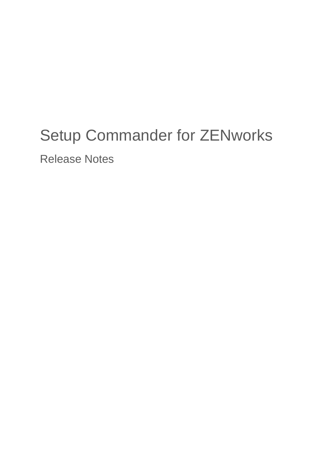# Setup Commander for ZENworks

Release Notes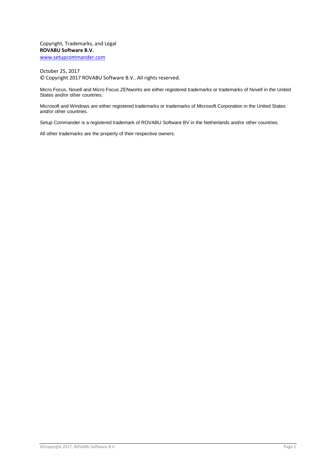Copyright, Trademarks, and Legal **ROVABU Software B.V.** [www.setupcommander.com](http://www.setupcommander.com/)

October 25, 2017 © Copyright 2017 ROVABU Software B.V.. All rights reserved.

Micro Focus, Novell and Micro Focus ZENworks are either registered trademarks or trademarks of Novell in the United States and/or other countries.

Microsoft and Windows are either registered trademarks or trademarks of Microsoft Corporation in the United States and/or other countries.

Setup Commander is a registered trademark of ROVABU Software BV in the Netherlands and/or other countries.

All other trademarks are the property of their respective owners.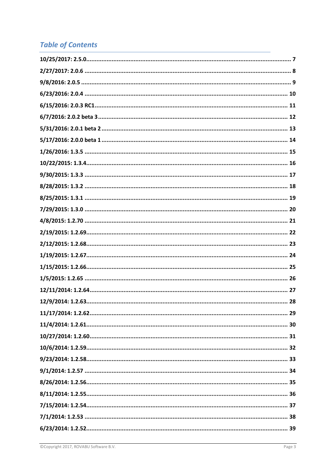# **Table of Contents**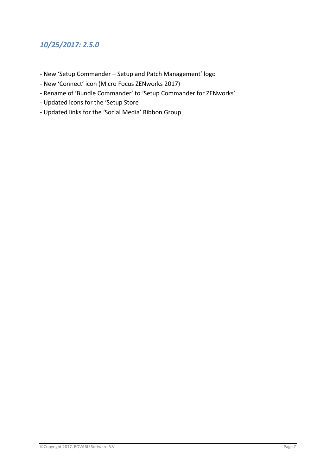# <span id="page-6-0"></span>*10/25/2017: 2.5.0*

- New 'Setup Commander Setup and Patch Management' logo
- New 'Connect' icon (Micro Focus ZENworks 2017)
- Rename of 'Bundle Commander' to 'Setup Commander for ZENworks'
- Updated icons for the 'Setup Store
- Updated links for the 'Social Media' Ribbon Group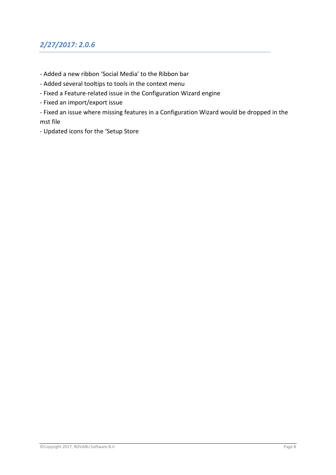# <span id="page-7-0"></span>*2/27/2017: 2.0.6*

- Added a new ribbon 'Social Media' to the Ribbon bar
- Added several tooltips to tools in the context menu
- Fixed a Feature-related issue in the Configuration Wizard engine
- Fixed an import/export issue
- Fixed an issue where missing features in a Configuration Wizard would be dropped in the mst file
- Updated icons for the 'Setup Store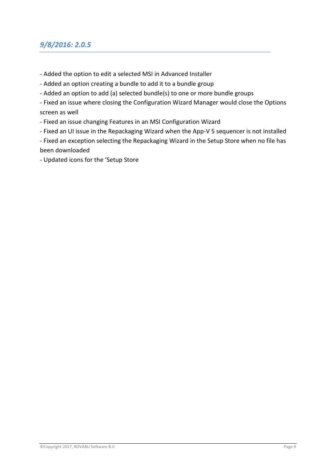#### <span id="page-8-0"></span>*9/8/2016: 2.0.5*

- Added the option to edit a selected MSI in Advanced Installer
- Added an option creating a bundle to add it to a bundle group
- Added an option to add (a) selected bundle(s) to one or more bundle groups

- Fixed an issue where closing the Configuration Wizard Manager would close the Options screen as well

- Fixed an issue changing Features in an MSI Configuration Wizard
- Fixed an UI issue in the Repackaging Wizard when the App-V 5 sequencer is not installed

- Fixed an exception selecting the Repackaging Wizard in the Setup Store when no file has been downloaded

- Updated icons for the 'Setup Store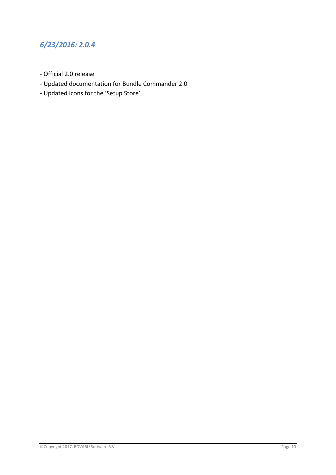# <span id="page-9-0"></span>*6/23/2016: 2.0.4*

- Official 2.0 release
- Updated documentation for Bundle Commander 2.0
- Updated icons for the 'Setup Store'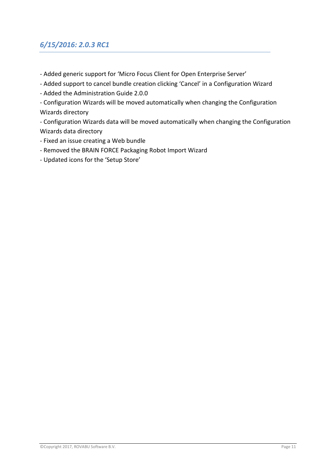# <span id="page-10-0"></span>*6/15/2016: 2.0.3 RC1*

- Added generic support for 'Micro Focus Client for Open Enterprise Server'
- Added support to cancel bundle creation clicking 'Cancel' in a Configuration Wizard
- Added the Administration Guide 2.0.0
- Configuration Wizards will be moved automatically when changing the Configuration Wizards directory
- Configuration Wizards data will be moved automatically when changing the Configuration Wizards data directory
- Fixed an issue creating a Web bundle
- Removed the BRAIN FORCE Packaging Robot Import Wizard
- Updated icons for the 'Setup Store'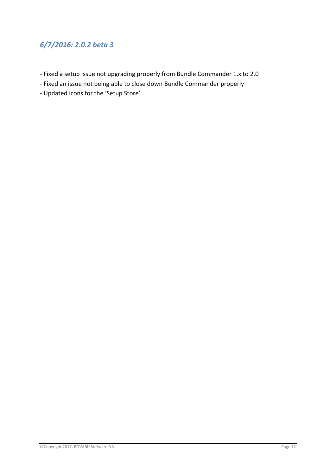#### <span id="page-11-0"></span>*6/7/2016: 2.0.2 beta 3*

- Fixed a setup issue not upgrading properly from Bundle Commander 1.x to 2.0
- Fixed an issue not being able to close down Bundle Commander properly
- Updated icons for the 'Setup Store'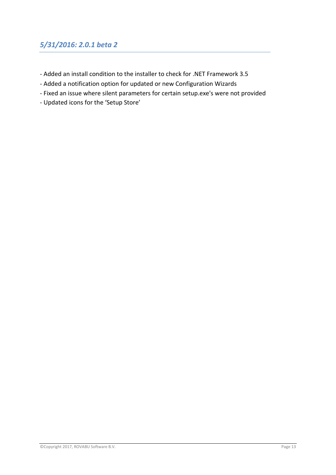#### <span id="page-12-0"></span>*5/31/2016: 2.0.1 beta 2*

- Added an install condition to the installer to check for .NET Framework 3.5
- Added a notification option for updated or new Configuration Wizards
- Fixed an issue where silent parameters for certain setup.exe's were not provided
- Updated icons for the 'Setup Store'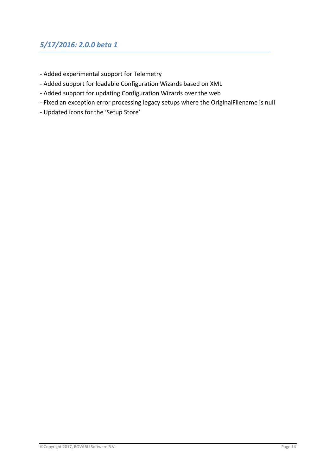# <span id="page-13-0"></span>*5/17/2016: 2.0.0 beta 1*

- Added experimental support for Telemetry
- Added support for loadable Configuration Wizards based on XML
- Added support for updating Configuration Wizards over the web
- Fixed an exception error processing legacy setups where the OriginalFilename is null
- Updated icons for the 'Setup Store'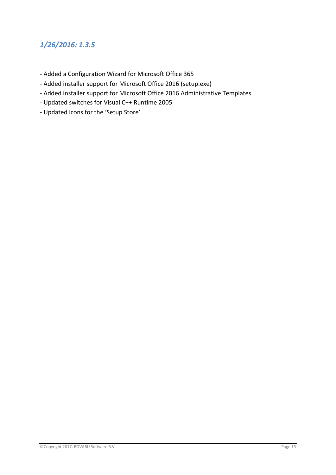# <span id="page-14-0"></span>*1/26/2016: 1.3.5*

- Added a Configuration Wizard for Microsoft Office 365
- Added installer support for Microsoft Office 2016 (setup.exe)
- Added installer support for Microsoft Office 2016 Administrative Templates
- Updated switches for Visual C++ Runtime 2005
- Updated icons for the 'Setup Store'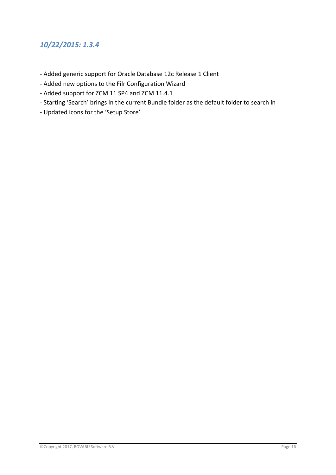#### <span id="page-15-0"></span>*10/22/2015: 1.3.4*

- Added generic support for Oracle Database 12c Release 1 Client
- Added new options to the Filr Configuration Wizard
- Added support for ZCM 11 SP4 and ZCM 11.4.1
- Starting 'Search' brings in the current Bundle folder as the default folder to search in
- Updated icons for the 'Setup Store'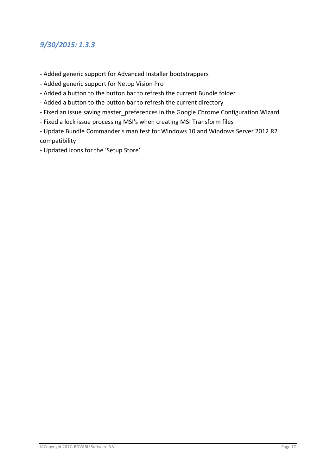#### <span id="page-16-0"></span>*9/30/2015: 1.3.3*

- Added generic support for Advanced Installer bootstrappers
- Added generic support for Netop Vision Pro
- Added a button to the button bar to refresh the current Bundle folder
- Added a button to the button bar to refresh the current directory
- Fixed an issue saving master preferences in the Google Chrome Configuration Wizard
- Fixed a lock issue processing MSI's when creating MSI Transform files

- Update Bundle Commander's manifest for Windows 10 and Windows Server 2012 R2 compatibility

- Updated icons for the 'Setup Store'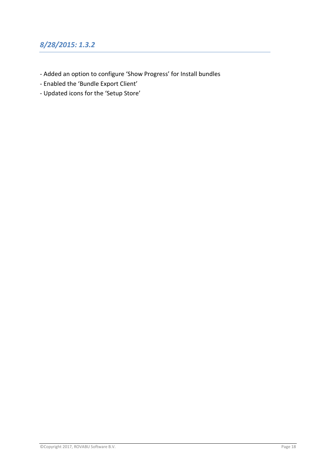# <span id="page-17-0"></span>*8/28/2015: 1.3.2*

- Added an option to configure 'Show Progress' for Install bundles
- Enabled the 'Bundle Export Client'
- Updated icons for the 'Setup Store'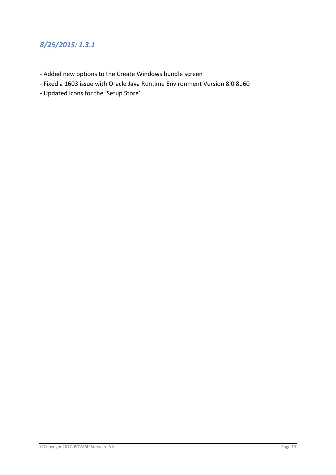# <span id="page-18-0"></span>*8/25/2015: 1.3.1*

- Added new options to the Create Windows bundle screen
- Fixed a 1603 issue with Oracle Java Runtime Environment Version 8.0 8u60
- Updated icons for the 'Setup Store'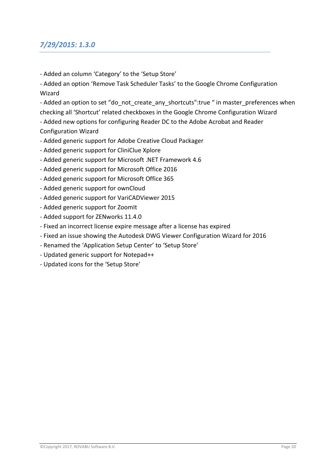#### <span id="page-19-0"></span>*7/29/2015: 1.3.0*

- Added an column 'Category' to the 'Setup Store'
- Added an option 'Remove Task Scheduler Tasks' to the Google Chrome Configuration Wizard

- Added an option to set "do not create any shortcuts":true " in master preferences when checking all 'Shortcut' related checkboxes in the Google Chrome Configuration Wizard

- Added new options for configuring Reader DC to the Adobe Acrobat and Reader Configuration Wizard

- Added generic support for Adobe Creative Cloud Packager
- Added generic support for CliniClue Xplore
- Added generic support for Microsoft .NET Framework 4.6
- Added generic support for Microsoft Office 2016
- Added generic support for Microsoft Office 365
- Added generic support for ownCloud
- Added generic support for VariCADViewer 2015
- Added generic support for ZoomIt
- Added support for ZENworks 11.4.0
- Fixed an incorrect license expire message after a license has expired
- Fixed an issue showing the Autodesk DWG Viewer Configuration Wizard for 2016
- Renamed the 'Application Setup Center' to 'Setup Store'
- Updated generic support for Notepad++
- Updated icons for the 'Setup Store'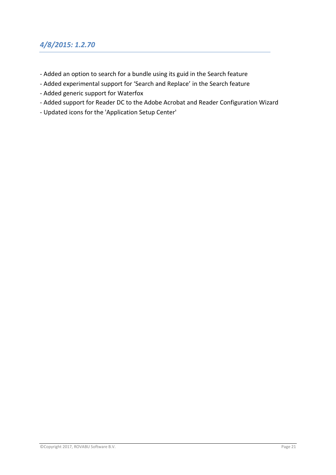#### <span id="page-20-0"></span>*4/8/2015: 1.2.70*

- Added an option to search for a bundle using its guid in the Search feature
- Added experimental support for 'Search and Replace' in the Search feature
- Added generic support for Waterfox
- Added support for Reader DC to the Adobe Acrobat and Reader Configuration Wizard
- Updated icons for the 'Application Setup Center'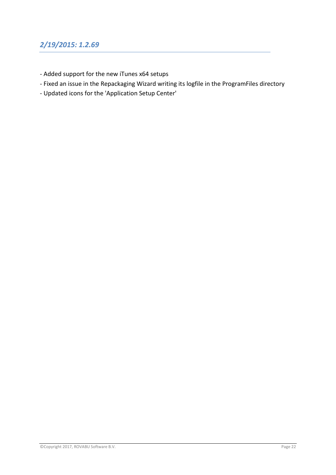# <span id="page-21-0"></span>*2/19/2015: 1.2.69*

- Added support for the new iTunes x64 setups
- Fixed an issue in the Repackaging Wizard writing its logfile in the ProgramFiles directory
- Updated icons for the 'Application Setup Center'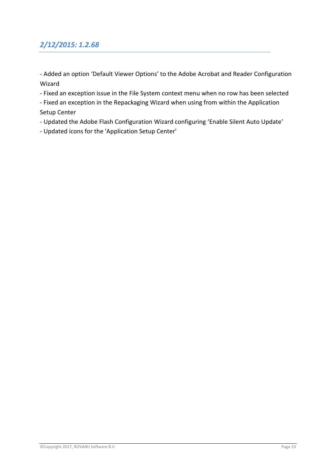# <span id="page-22-0"></span>*2/12/2015: 1.2.68*

- Added an option 'Default Viewer Options' to the Adobe Acrobat and Reader Configuration Wizard

- Fixed an exception issue in the File System context menu when no row has been selected

- Fixed an exception in the Repackaging Wizard when using from within the Application Setup Center

- Updated the Adobe Flash Configuration Wizard configuring 'Enable Silent Auto Update'

- Updated icons for the 'Application Setup Center'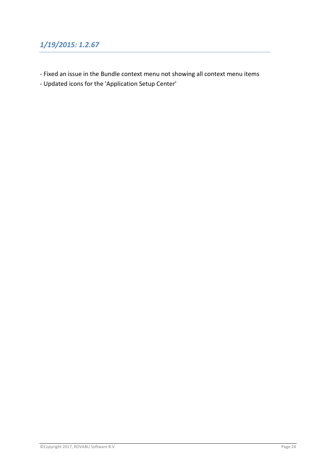# <span id="page-23-0"></span>*1/19/2015: 1.2.67*

- Fixed an issue in the Bundle context menu not showing all context menu items
- Updated icons for the 'Application Setup Center'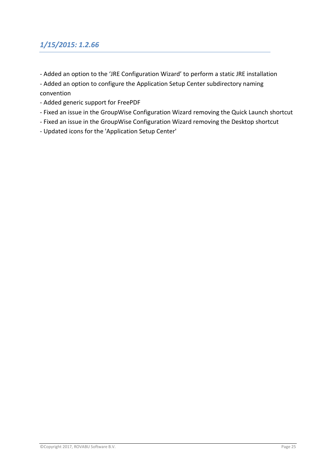# <span id="page-24-0"></span>*1/15/2015: 1.2.66*

- Added an option to the 'JRE Configuration Wizard' to perform a static JRE installation

- Added an option to configure the Application Setup Center subdirectory naming convention

- Added generic support for FreePDF
- Fixed an issue in the GroupWise Configuration Wizard removing the Quick Launch shortcut
- Fixed an issue in the GroupWise Configuration Wizard removing the Desktop shortcut
- Updated icons for the 'Application Setup Center'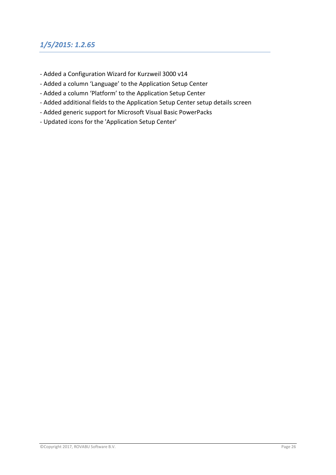#### <span id="page-25-0"></span>*1/5/2015: 1.2.65*

- Added a Configuration Wizard for Kurzweil 3000 v14
- Added a column 'Language' to the Application Setup Center
- Added a column 'Platform' to the Application Setup Center
- Added additional fields to the Application Setup Center setup details screen
- Added generic support for Microsoft Visual Basic PowerPacks
- Updated icons for the 'Application Setup Center'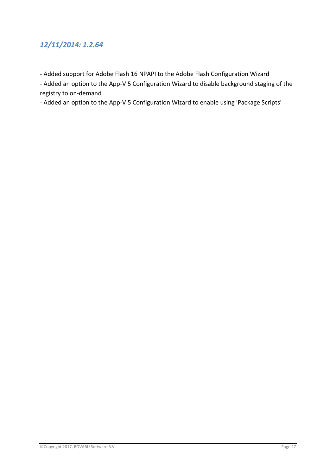# <span id="page-26-0"></span>*12/11/2014: 1.2.64*

- Added support for Adobe Flash 16 NPAPI to the Adobe Flash Configuration Wizard

- Added an option to the App-V 5 Configuration Wizard to disable background staging of the registry to on-demand

- Added an option to the App-V 5 Configuration Wizard to enable using 'Package Scripts'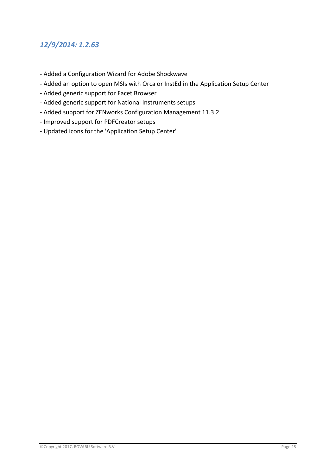#### <span id="page-27-0"></span>*12/9/2014: 1.2.63*

- Added a Configuration Wizard for Adobe Shockwave
- Added an option to open MSIs with Orca or InstEd in the Application Setup Center
- Added generic support for Facet Browser
- Added generic support for National Instruments setups
- Added support for ZENworks Configuration Management 11.3.2
- Improved support for PDFCreator setups
- Updated icons for the 'Application Setup Center'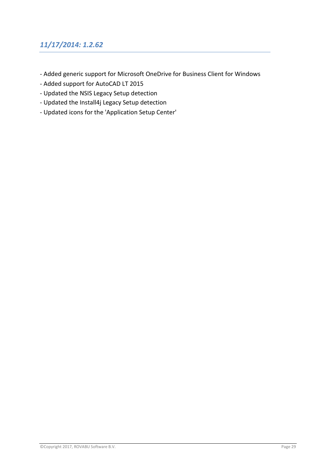# <span id="page-28-0"></span>*11/17/2014: 1.2.62*

- Added generic support for Microsoft OneDrive for Business Client for Windows
- Added support for AutoCAD LT 2015
- Updated the NSIS Legacy Setup detection
- Updated the Install4j Legacy Setup detection
- Updated icons for the 'Application Setup Center'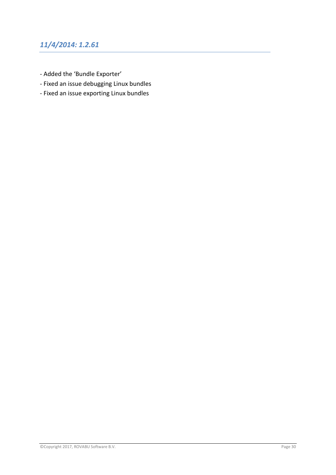# <span id="page-29-0"></span>*11/4/2014: 1.2.61*

- Added the 'Bundle Exporter'
- Fixed an issue debugging Linux bundles
- Fixed an issue exporting Linux bundles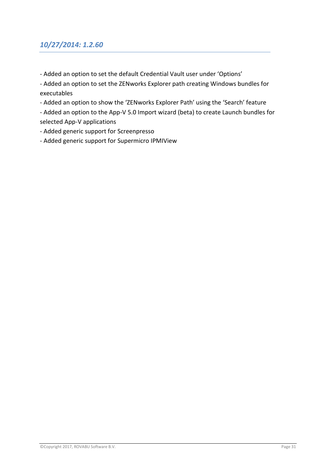#### <span id="page-30-0"></span>*10/27/2014: 1.2.60*

- Added an option to set the default Credential Vault user under 'Options'

- Added an option to set the ZENworks Explorer path creating Windows bundles for executables

- Added an option to show the 'ZENworks Explorer Path' using the 'Search' feature

- Added an option to the App-V 5.0 Import wizard (beta) to create Launch bundles for selected App-V applications

- Added generic support for Screenpresso
- Added generic support for Supermicro IPMIView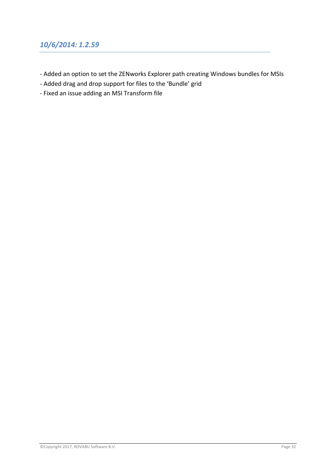#### <span id="page-31-0"></span>*10/6/2014: 1.2.59*

- Added an option to set the ZENworks Explorer path creating Windows bundles for MSIs
- Added drag and drop support for files to the 'Bundle' grid
- Fixed an issue adding an MSI Transform file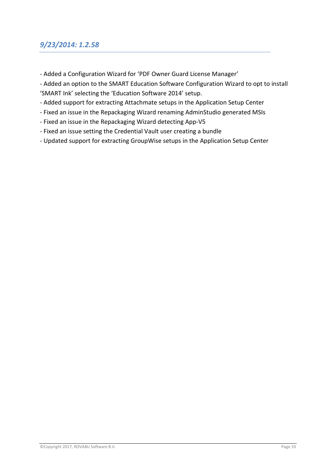#### <span id="page-32-0"></span>*9/23/2014: 1.2.58*

- Added a Configuration Wizard for 'PDF Owner Guard License Manager'
- Added an option to the SMART Education Software Configuration Wizard to opt to install 'SMART Ink' selecting the 'Education Software 2014' setup.
- Added support for extracting Attachmate setups in the Application Setup Center
- Fixed an issue in the Repackaging Wizard renaming AdminStudio generated MSIs
- Fixed an issue in the Repackaging Wizard detecting App-V5
- Fixed an issue setting the Credential Vault user creating a bundle
- Updated support for extracting GroupWise setups in the Application Setup Center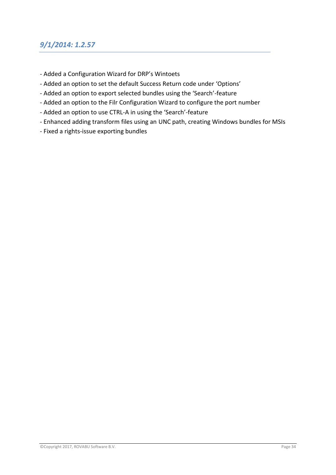#### <span id="page-33-0"></span>*9/1/2014: 1.2.57*

- Added a Configuration Wizard for DRP's Wintoets
- Added an option to set the default Success Return code under 'Options'
- Added an option to export selected bundles using the 'Search'-feature
- Added an option to the Filr Configuration Wizard to configure the port number
- Added an option to use CTRL-A in using the 'Search'-feature
- Enhanced adding transform files using an UNC path, creating Windows bundles for MSIs
- Fixed a rights-issue exporting bundles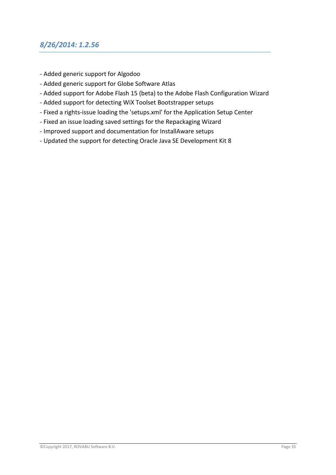#### <span id="page-34-0"></span>*8/26/2014: 1.2.56*

- Added generic support for Algodoo
- Added generic support for Globe Software Atlas
- Added support for Adobe Flash 15 (beta) to the Adobe Flash Configuration Wizard
- Added support for detecting WiX Toolset Bootstrapper setups
- Fixed a rights-issue loading the 'setups.xml' for the Application Setup Center
- Fixed an issue loading saved settings for the Repackaging Wizard
- Improved support and documentation for InstallAware setups
- Updated the support for detecting Oracle Java SE Development Kit 8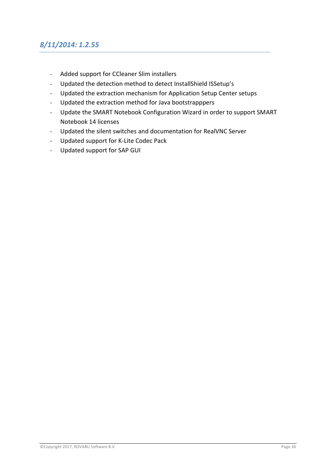# <span id="page-35-0"></span>*8/11/2014: 1.2.55*

- Added support for CCleaner Slim installers
- Updated the detection method to detect InstallShield ISSetup's
- Updated the extraction mechanism for Application Setup Center setups
- Updated the extraction method for Java bootstrapppers
- Update the SMART Notebook Configuration Wizard in order to support SMART Notebook 14 licenses
- Updated the silent switches and documentation for RealVNC Server
- Updated support for K-Lite Codec Pack
- Updated support for SAP GUI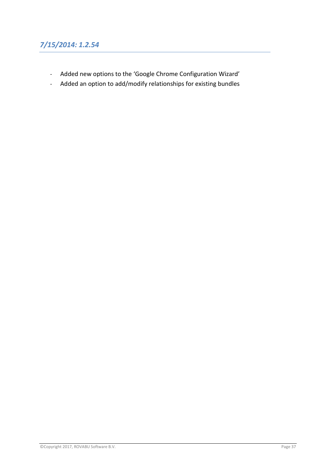- Added new options to the 'Google Chrome Configuration Wizard'
- Added an option to add/modify relationships for existing bundles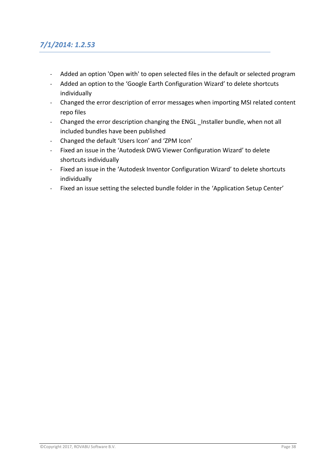# *7/1/2014: 1.2.53*

- Added an option 'Open with' to open selected files in the default or selected program
- Added an option to the 'Google Earth Configuration Wizard' to delete shortcuts individually
- Changed the error description of error messages when importing MSI related content repo files
- Changed the error description changing the ENGL Installer bundle, when not all included bundles have been published
- Changed the default 'Users Icon' and 'ZPM Icon'
- Fixed an issue in the 'Autodesk DWG Viewer Configuration Wizard' to delete shortcuts individually
- Fixed an issue in the 'Autodesk Inventor Configuration Wizard' to delete shortcuts individually
- Fixed an issue setting the selected bundle folder in the 'Application Setup Center'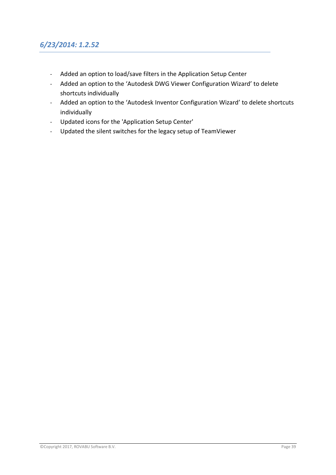- Added an option to load/save filters in the Application Setup Center
- Added an option to the 'Autodesk DWG Viewer Configuration Wizard' to delete shortcuts individually
- Added an option to the 'Autodesk Inventor Configuration Wizard' to delete shortcuts individually
- Updated icons for the 'Application Setup Center'
- Updated the silent switches for the legacy setup of TeamViewer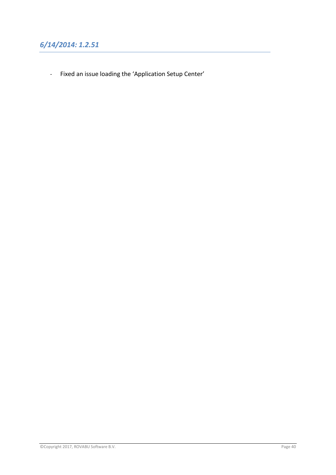- Fixed an issue loading the 'Application Setup Center'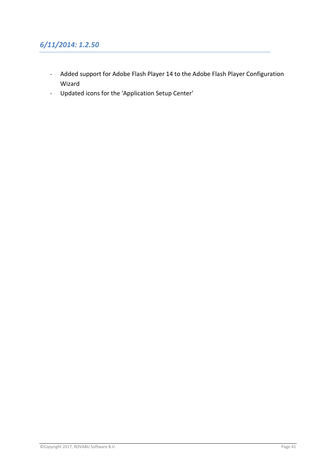# *6/11/2014: 1.2.50*

- Added support for Adobe Flash Player 14 to the Adobe Flash Player Configuration Wizard
- Updated icons for the 'Application Setup Center'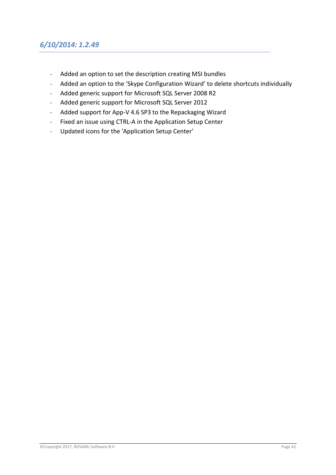### *6/10/2014: 1.2.49*

- Added an option to set the description creating MSI bundles
- Added an option to the 'Skype Configuration Wizard' to delete shortcuts individually
- Added generic support for Microsoft SQL Server 2008 R2
- Added generic support for Microsoft SQL Server 2012
- Added support for App-V 4.6 SP3 to the Repackaging Wizard
- Fixed an issue using CTRL-A in the Application Setup Center
- Updated icons for the 'Application Setup Center'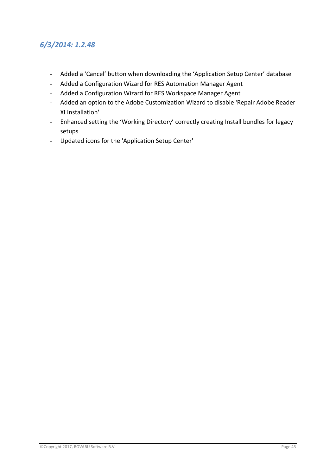#### *6/3/2014: 1.2.48*

- Added a 'Cancel' button when downloading the 'Application Setup Center' database
- Added a Configuration Wizard for RES Automation Manager Agent
- Added a Configuration Wizard for RES Workspace Manager Agent
- Added an option to the Adobe Customization Wizard to disable 'Repair Adobe Reader XI Installation'
- Enhanced setting the 'Working Directory' correctly creating Install bundles for legacy setups
- Updated icons for the 'Application Setup Center'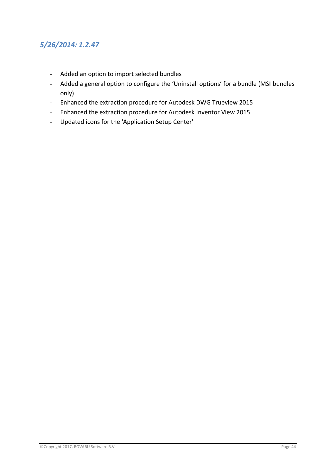- Added an option to import selected bundles
- Added a general option to configure the 'Uninstall options' for a bundle (MSI bundles only)
- Enhanced the extraction procedure for Autodesk DWG Trueview 2015
- Enhanced the extraction procedure for Autodesk Inventor View 2015
- Updated icons for the 'Application Setup Center'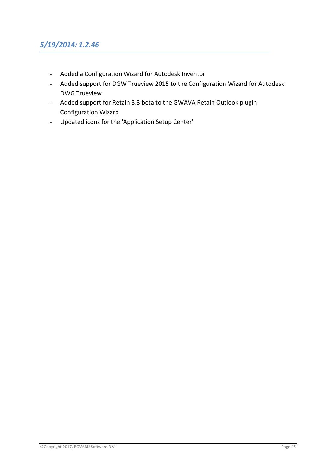## *5/19/2014: 1.2.46*

- Added a Configuration Wizard for Autodesk Inventor
- Added support for DGW Trueview 2015 to the Configuration Wizard for Autodesk DWG Trueview
- Added support for Retain 3.3 beta to the GWAVA Retain Outlook plugin Configuration Wizard
- Updated icons for the 'Application Setup Center'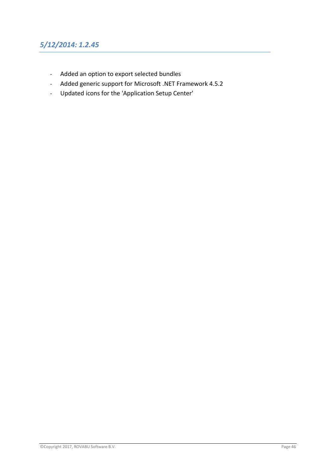# *5/12/2014: 1.2.45*

- Added an option to export selected bundles
- Added generic support for Microsoft .NET Framework 4.5.2
- Updated icons for the 'Application Setup Center'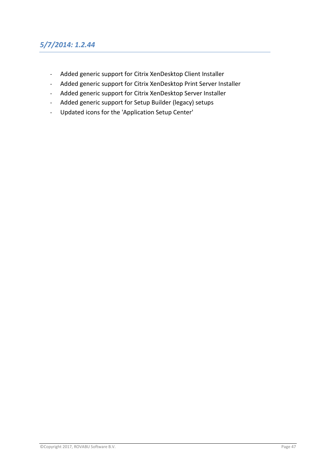# *5/7/2014: 1.2.44*

- Added generic support for Citrix XenDesktop Client Installer
- Added generic support for Citrix XenDesktop Print Server Installer
- Added generic support for Citrix XenDesktop Server Installer
- Added generic support for Setup Builder (legacy) setups
- Updated icons for the 'Application Setup Center'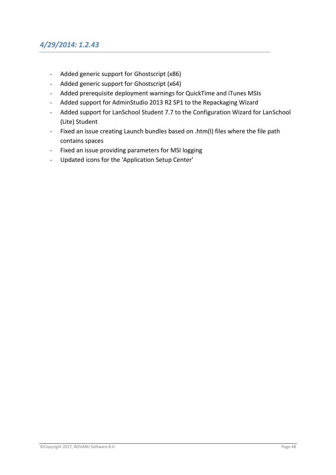#### *4/29/2014: 1.2.43*

- Added generic support for Ghostscript (x86)
- Added generic support for Ghostscript (x64)
- Added prerequisite deployment warnings for QuickTime and iTunes MSIs
- Added support for AdminStudio 2013 R2 SP1 to the Repackaging Wizard
- Added support for LanSchool Student 7.7 to the Configuration Wizard for LanSchool (Lite) Student
- Fixed an issue creating Launch bundles based on .htm(l) files where the file path contains spaces
- Fixed an issue providing parameters for MSI logging
- Updated icons for the 'Application Setup Center'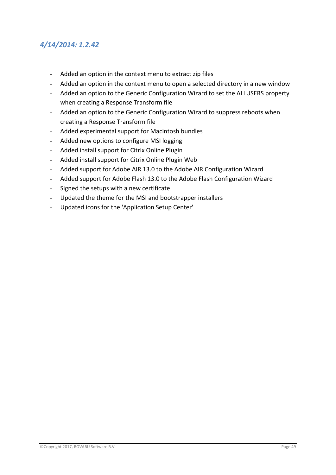### *4/14/2014: 1.2.42*

- Added an option in the context menu to extract zip files
- Added an option in the context menu to open a selected directory in a new window
- Added an option to the Generic Configuration Wizard to set the ALLUSERS property when creating a Response Transform file
- Added an option to the Generic Configuration Wizard to suppress reboots when creating a Response Transform file
- Added experimental support for Macintosh bundles
- Added new options to configure MSI logging
- Added install support for Citrix Online Plugin
- Added install support for Citrix Online Plugin Web
- Added support for Adobe AIR 13.0 to the Adobe AIR Configuration Wizard
- Added support for Adobe Flash 13.0 to the Adobe Flash Configuration Wizard
- Signed the setups with a new certificate
- Updated the theme for the MSI and bootstrapper installers
- Updated icons for the 'Application Setup Center'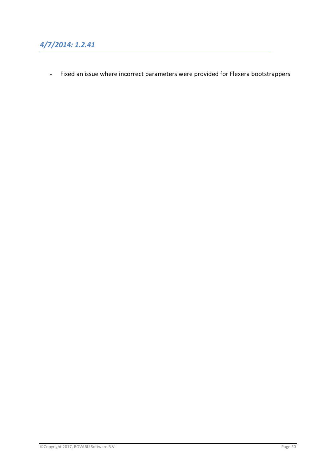- Fixed an issue where incorrect parameters were provided for Flexera bootstrappers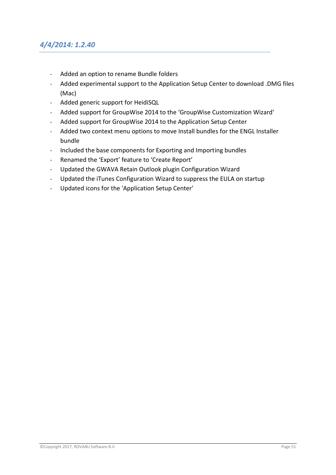#### *4/4/2014: 1.2.40*

- Added an option to rename Bundle folders
- Added experimental support to the Application Setup Center to download .DMG files (Mac)
- Added generic support for HeidiSQL
- Added support for GroupWise 2014 to the 'GroupWise Customization Wizard'
- Added support for GroupWise 2014 to the Application Setup Center
- Added two context menu options to move Install bundles for the ENGL Installer bundle
- Included the base components for Exporting and Importing bundles
- Renamed the 'Export' feature to 'Create Report'
- Updated the GWAVA Retain Outlook plugin Configuration Wizard
- Updated the iTunes Configuration Wizard to suppress the EULA on startup
- Updated icons for the 'Application Setup Center'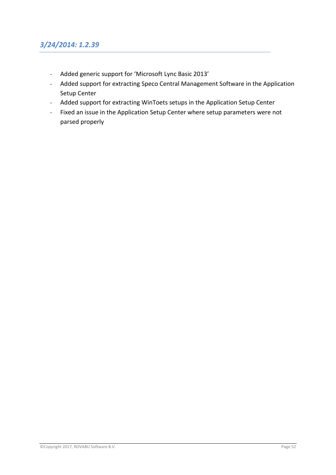### *3/24/2014: 1.2.39*

- Added generic support for 'Microsoft Lync Basic 2013'
- Added support for extracting Speco Central Management Software in the Application Setup Center
- Added support for extracting WinToets setups in the Application Setup Center
- Fixed an issue in the Application Setup Center where setup parameters were not parsed properly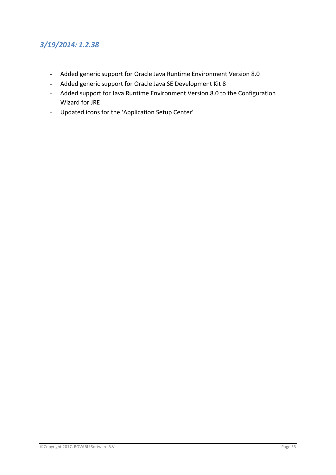### *3/19/2014: 1.2.38*

- Added generic support for Oracle Java Runtime Environment Version 8.0
- Added generic support for Oracle Java SE Development Kit 8
- Added support for Java Runtime Environment Version 8.0 to the Configuration Wizard for JRE
- Updated icons for the 'Application Setup Center'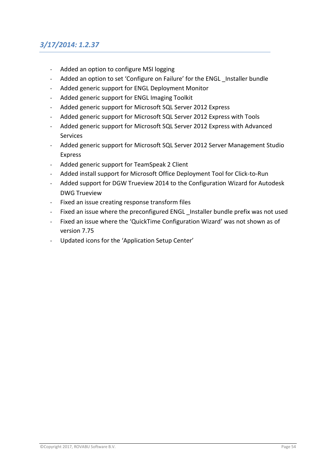# *3/17/2014: 1.2.37*

- Added an option to configure MSI logging
- Added an option to set 'Configure on Failure' for the ENGL Installer bundle
- Added generic support for ENGL Deployment Monitor
- Added generic support for ENGL Imaging Toolkit
- Added generic support for Microsoft SQL Server 2012 Express
- Added generic support for Microsoft SQL Server 2012 Express with Tools
- Added generic support for Microsoft SQL Server 2012 Express with Advanced Services
- Added generic support for Microsoft SQL Server 2012 Server Management Studio Express
- Added generic support for TeamSpeak 2 Client
- Added install support for Microsoft Office Deployment Tool for Click-to-Run
- Added support for DGW Trueview 2014 to the Configuration Wizard for Autodesk DWG Trueview
- Fixed an issue creating response transform files
- Fixed an issue where the preconfigured ENGL Installer bundle prefix was not used
- Fixed an issue where the 'QuickTime Configuration Wizard' was not shown as of version 7.75
- Updated icons for the 'Application Setup Center'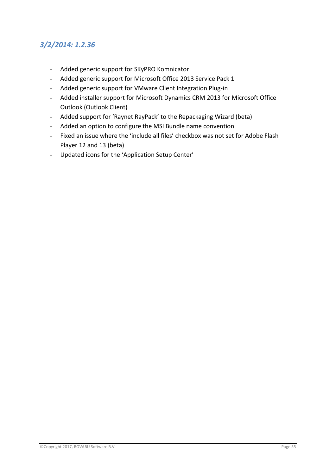## *3/2/2014: 1.2.36*

- Added generic support for SKyPRO Komnicator
- Added generic support for Microsoft Office 2013 Service Pack 1
- Added generic support for VMware Client Integration Plug-in
- Added installer support for Microsoft Dynamics CRM 2013 for Microsoft Office Outlook (Outlook Client)
- Added support for 'Raynet RayPack' to the Repackaging Wizard (beta)
- Added an option to configure the MSI Bundle name convention
- Fixed an issue where the 'include all files' checkbox was not set for Adobe Flash Player 12 and 13 (beta)
- Updated icons for the 'Application Setup Center'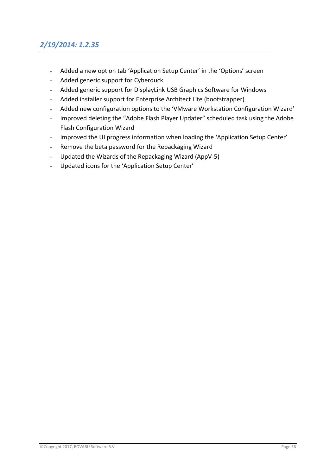# *2/19/2014: 1.2.35*

- Added a new option tab 'Application Setup Center' in the 'Options' screen
- Added generic support for Cyberduck
- Added generic support for DisplayLink USB Graphics Software for Windows
- Added installer support for Enterprise Architect Lite (bootstrapper)
- Added new configuration options to the 'VMware Workstation Configuration Wizard'
- Improved deleting the "Adobe Flash Player Updater" scheduled task using the Adobe Flash Configuration Wizard
- Improved the UI progress information when loading the 'Application Setup Center'
- Remove the beta password for the Repackaging Wizard
- Updated the Wizards of the Repackaging Wizard (AppV-5)
- Updated icons for the 'Application Setup Center'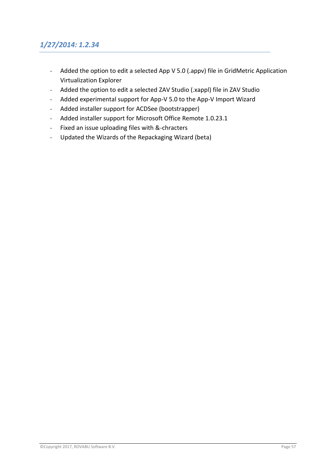# *1/27/2014: 1.2.34*

- Added the option to edit a selected App V 5.0 (.appv) file in GridMetric Application Virtualization Explorer
- Added the option to edit a selected ZAV Studio (.xappl) file in ZAV Studio
- Added experimental support for App-V 5.0 to the App-V Import Wizard
- Added installer support for ACDSee (bootstrapper)
- Added installer support for Microsoft Office Remote 1.0.23.1
- Fixed an issue uploading files with &-chracters
- Updated the Wizards of the Repackaging Wizard (beta)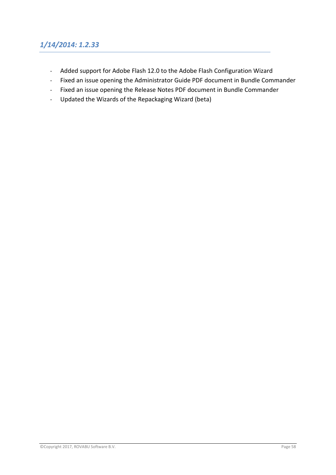## *1/14/2014: 1.2.33*

- Added support for Adobe Flash 12.0 to the Adobe Flash Configuration Wizard
- Fixed an issue opening the Administrator Guide PDF document in Bundle Commander
- Fixed an issue opening the Release Notes PDF document in Bundle Commander
- Updated the Wizards of the Repackaging Wizard (beta)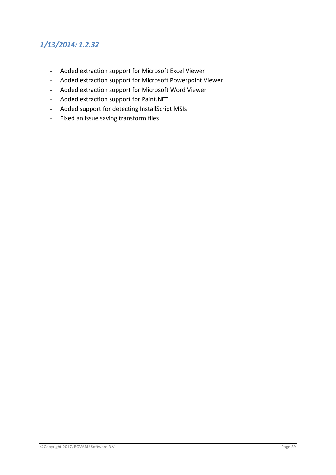# *1/13/2014: 1.2.32*

- Added extraction support for Microsoft Excel Viewer
- Added extraction support for Microsoft Powerpoint Viewer
- Added extraction support for Microsoft Word Viewer
- Added extraction support for Paint.NET
- Added support for detecting InstallScript MSIs
- Fixed an issue saving transform files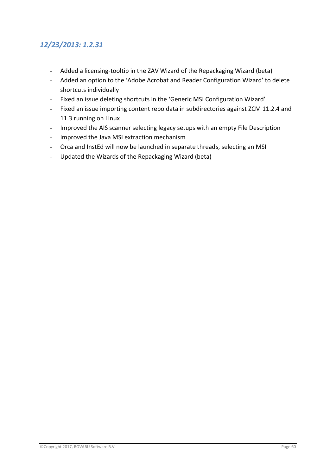# *12/23/2013: 1.2.31*

- Added a licensing-tooltip in the ZAV Wizard of the Repackaging Wizard (beta)
- Added an option to the 'Adobe Acrobat and Reader Configuration Wizard' to delete shortcuts individually
- Fixed an issue deleting shortcuts in the 'Generic MSI Configuration Wizard'
- Fixed an issue importing content repo data in subdirectories against ZCM 11.2.4 and 11.3 running on Linux
- Improved the AIS scanner selecting legacy setups with an empty File Description
- Improved the Java MSI extraction mechanism
- Orca and InstEd will now be launched in separate threads, selecting an MSI
- Updated the Wizards of the Repackaging Wizard (beta)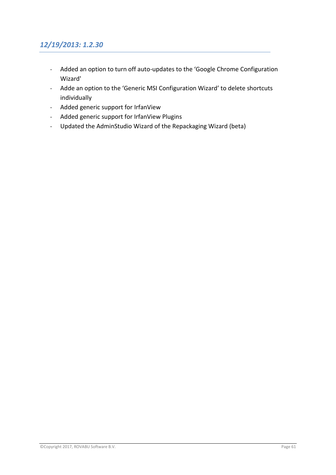## *12/19/2013: 1.2.30*

- Added an option to turn off auto-updates to the 'Google Chrome Configuration Wizard'
- Adde an option to the 'Generic MSI Configuration Wizard' to delete shortcuts individually
- Added generic support for IrfanView
- Added generic support for IrfanView Plugins
- Updated the AdminStudio Wizard of the Repackaging Wizard (beta)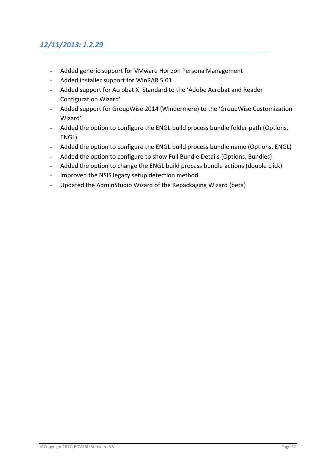# *12/11/2013: 1.2.29*

- Added generic support for VMware Horizon Persona Management
- Added installer support for WinRAR 5.01
- Added support for Acrobat XI Standard to the 'Adobe Acrobat and Reader Configuration Wizard'
- Added support for GroupWise 2014 (Windermere) to the 'GroupWise Customization Wizard'
- Added the option to configure the ENGL build process bundle folder path (Options, ENGL)
- Added the option to configure the ENGL build process bundle name (Options, ENGL)
- Added the option to configure to show Full Bundle Details (Options, Bundles)
- Added the option to change the ENGL build process bundle actions (double click)
- Improved the NSIS legacy setup detection method
- Updated the AdminStudio Wizard of the Repackaging Wizard (beta)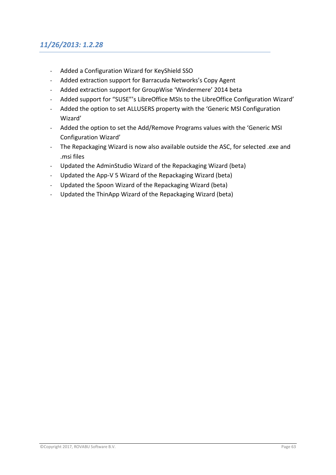### *11/26/2013: 1.2.28*

- Added a Configuration Wizard for KeyShield SSO
- Added extraction support for Barracuda Networks's Copy Agent
- Added extraction support for GroupWise 'Windermere' 2014 beta
- Added support for "SUSE"'s LibreOffice MSIs to the LibreOffice Configuration Wizard'
- Added the option to set ALLUSERS property with the 'Generic MSI Configuration Wizard'
- Added the option to set the Add/Remove Programs values with the 'Generic MSI Configuration Wizard'
- The Repackaging Wizard is now also available outside the ASC, for selected .exe and .msi files
- Updated the AdminStudio Wizard of the Repackaging Wizard (beta)
- Updated the App-V 5 Wizard of the Repackaging Wizard (beta)
- Updated the Spoon Wizard of the Repackaging Wizard (beta)
- Updated the ThinApp Wizard of the Repackaging Wizard (beta)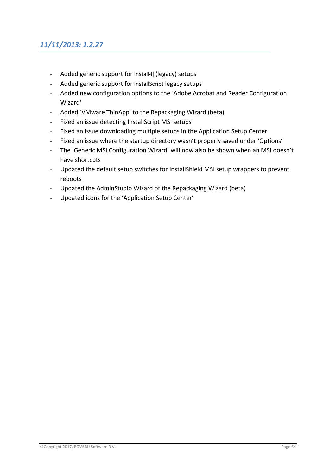# *11/11/2013: 1.2.27*

- Added generic support for Install4j (legacy) setups
- Added generic support for InstallScript legacy setups
- Added new configuration options to the 'Adobe Acrobat and Reader Configuration Wizard'
- Added 'VMware ThinApp' to the Repackaging Wizard (beta)
- Fixed an issue detecting InstallScript MSI setups
- Fixed an issue downloading multiple setups in the Application Setup Center
- Fixed an issue where the startup directory wasn't properly saved under 'Options'
- The 'Generic MSI Configuration Wizard' will now also be shown when an MSI doesn't have shortcuts
- Updated the default setup switches for InstallShield MSI setup wrappers to prevent reboots
- Updated the AdminStudio Wizard of the Repackaging Wizard (beta)
- Updated icons for the 'Application Setup Center'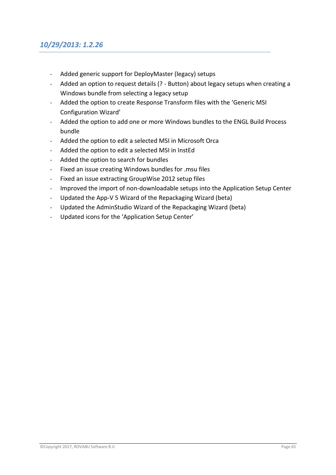#### *10/29/2013: 1.2.26*

- Added generic support for DeployMaster (legacy) setups
- Added an option to request details (? Button) about legacy setups when creating a Windows bundle from selecting a legacy setup
- Added the option to create Response Transform files with the 'Generic MSI Configuration Wizard'
- Added the option to add one or more Windows bundles to the ENGL Build Process bundle
- Added the option to edit a selected MSI in Microsoft Orca
- Added the option to edit a selected MSI in InstEd
- Added the option to search for bundles
- Fixed an issue creating Windows bundles for .msu files
- Fixed an issue extracting GroupWise 2012 setup files
- Improved the import of non-downloadable setups into the Application Setup Center
- Updated the App-V 5 Wizard of the Repackaging Wizard (beta)
- Updated the AdminStudio Wizard of the Repackaging Wizard (beta)
- Updated icons for the 'Application Setup Center'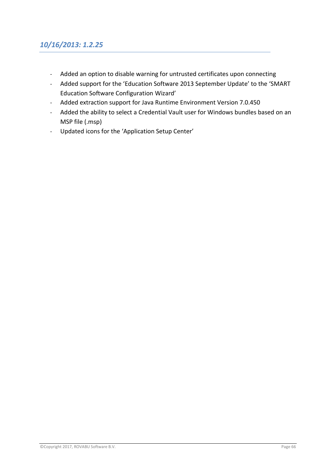### *10/16/2013: 1.2.25*

- Added an option to disable warning for untrusted certificates upon connecting
- Added support for the 'Education Software 2013 September Update' to the 'SMART Education Software Configuration Wizard'
- Added extraction support for Java Runtime Environment Version 7.0.450
- Added the ability to select a Credential Vault user for Windows bundles based on an MSP file (.msp)
- Updated icons for the 'Application Setup Center'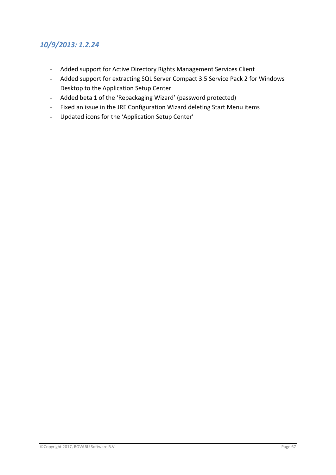- Added support for Active Directory Rights Management Services Client
- Added support for extracting SQL Server Compact 3.5 Service Pack 2 for Windows Desktop to the Application Setup Center
- Added beta 1 of the 'Repackaging Wizard' (password protected)
- Fixed an issue in the JRE Configuration Wizard deleting Start Menu items
- Updated icons for the 'Application Setup Center'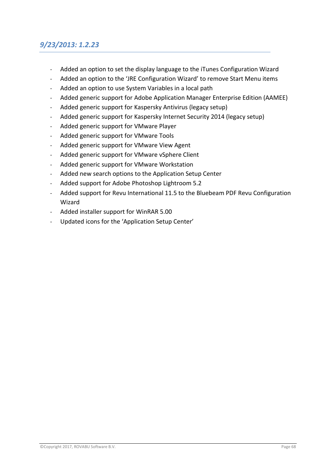### *9/23/2013: 1.2.23*

- Added an option to set the display language to the iTunes Configuration Wizard
- Added an option to the 'JRE Configuration Wizard' to remove Start Menu items
- Added an option to use System Variables in a local path
- Added generic support for Adobe Application Manager Enterprise Edition (AAMEE)
- Added generic support for Kaspersky Antivirus (legacy setup)
- Added generic support for Kaspersky Internet Security 2014 (legacy setup)
- Added generic support for VMware Player
- Added generic support for VMware Tools
- Added generic support for VMware View Agent
- Added generic support for VMware vSphere Client
- Added generic support for VMware Workstation
- Added new search options to the Application Setup Center
- Added support for Adobe Photoshop Lightroom 5.2
- Added support for Revu International 11.5 to the Bluebeam PDF Revu Configuration Wizard
- Added installer support for WinRAR 5.00
- Updated icons for the 'Application Setup Center'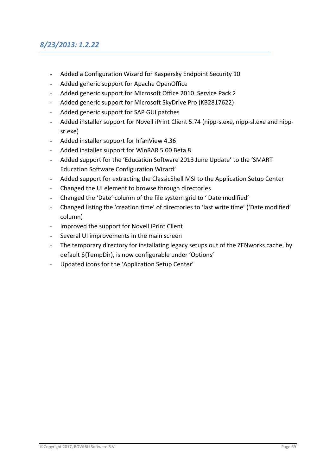### *8/23/2013: 1.2.22*

- Added a Configuration Wizard for Kaspersky Endpoint Security 10
- Added generic support for Apache OpenOffice
- Added generic support for Microsoft Office 2010 Service Pack 2
- Added generic support for Microsoft SkyDrive Pro (KB2817622)
- Added generic support for SAP GUI patches
- Added installer support for Novell iPrint Client 5.74 (nipp-s.exe, nipp-sl.exe and nippsr.exe)
- Added installer support for IrfanView 4.36
- Added installer support for WinRAR 5.00 Beta 8
- Added support for the 'Education Software 2013 June Update' to the 'SMART Education Software Configuration Wizard'
- Added support for extracting the ClassicShell MSI to the Application Setup Center
- Changed the UI element to browse through directories
- Changed the 'Date' column of the file system grid to ' Date modified'
- Changed listing the 'creation time' of directories to 'last write time' ('Date modified' column)
- Improved the support for Novell iPrint Client
- Several UI improvements in the main screen
- The temporary directory for installating legacy setups out of the ZENworks cache, by default \${TempDir), is now configurable under 'Options'
- Updated icons for the 'Application Setup Center'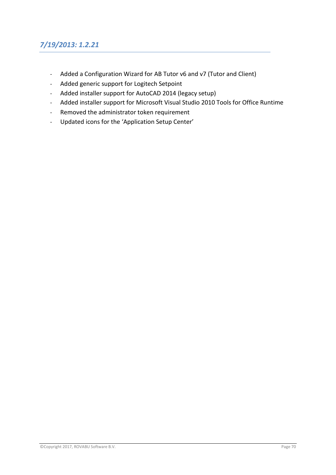# *7/19/2013: 1.2.21*

- Added a Configuration Wizard for AB Tutor v6 and v7 (Tutor and Client)
- Added generic support for Logitech Setpoint
- Added installer support for AutoCAD 2014 (legacy setup)
- Added installer support for Microsoft Visual Studio 2010 Tools for Office Runtime
- Removed the administrator token requirement
- Updated icons for the 'Application Setup Center'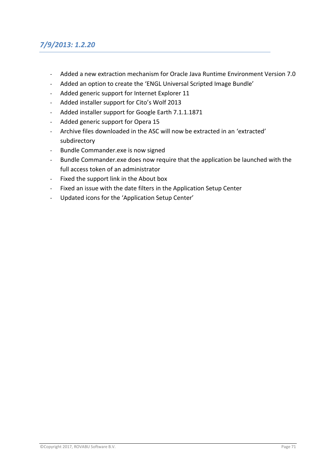## *7/9/2013: 1.2.20*

- Added a new extraction mechanism for Oracle Java Runtime Environment Version 7.0
- Added an option to create the 'ENGL Universal Scripted Image Bundle'
- Added generic support for Internet Explorer 11
- Added installer support for Cito's Wolf 2013
- Added installer support for Google Earth 7.1.1.1871
- Added generic support for Opera 15
- Archive files downloaded in the ASC will now be extracted in an 'extracted' subdirectory
- Bundle Commander.exe is now signed
- Bundle Commander.exe does now require that the application be launched with the full access token of an administrator
- Fixed the support link in the About box
- Fixed an issue with the date filters in the Application Setup Center
- Updated icons for the 'Application Setup Center'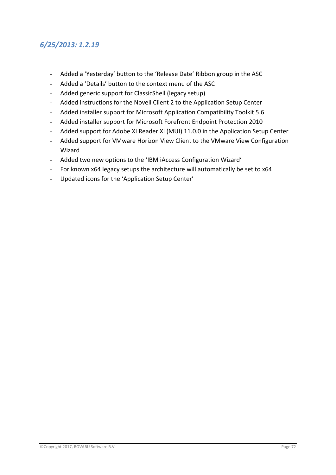#### *6/25/2013: 1.2.19*

- Added a 'Yesterday' button to the 'Release Date' Ribbon group in the ASC
- Added a 'Details' button to the context menu of the ASC
- Added generic support for ClassicShell (legacy setup)
- Added instructions for the Novell Client 2 to the Application Setup Center
- Added installer support for Microsoft Application Compatibility Toolkit 5.6
- Added installer support for Microsoft Forefront Endpoint Protection 2010
- Added support for Adobe XI Reader XI (MUI) 11.0.0 in the Application Setup Center
- Added support for VMware Horizon View Client to the VMware View Configuration Wizard
- Added two new options to the 'IBM iAccess Configuration Wizard'
- For known x64 legacy setups the architecture will automatically be set to x64
- Updated icons for the 'Application Setup Center'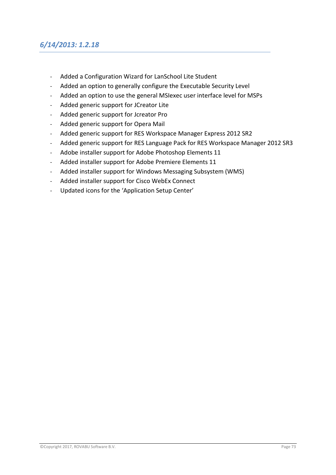#### *6/14/2013: 1.2.18*

- Added a Configuration Wizard for LanSchool Lite Student
- Added an option to generally configure the Executable Security Level
- Added an option to use the general MSIexec user interface level for MSPs
- Added generic support for JCreator Lite
- Added generic support for Jcreator Pro
- Added generic support for Opera Mail
- Added generic support for RES Workspace Manager Express 2012 SR2
- Added generic support for RES Language Pack for RES Workspace Manager 2012 SR3
- Adobe installer support for Adobe Photoshop Elements 11
- Added installer support for Adobe Premiere Elements 11
- Added installer support for Windows Messaging Subsystem (WMS)
- Added installer support for Cisco WebEx Connect
- Updated icons for the 'Application Setup Center'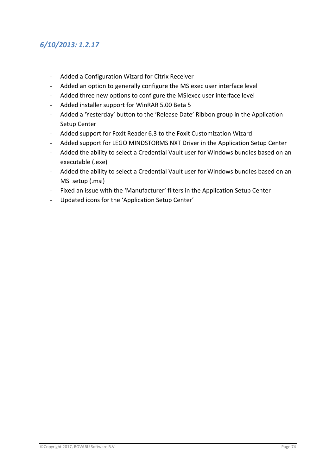- Added a Configuration Wizard for Citrix Receiver
- Added an option to generally configure the MSIexec user interface level
- Added three new options to configure the MSIexec user interface level
- Added installer support for WinRAR 5.00 Beta 5
- Added a 'Yesterday' button to the 'Release Date' Ribbon group in the Application Setup Center
- Added support for Foxit Reader 6.3 to the Foxit Customization Wizard
- Added support for LEGO MINDSTORMS NXT Driver in the Application Setup Center
- Added the ability to select a Credential Vault user for Windows bundles based on an executable (.exe)
- Added the ability to select a Credential Vault user for Windows bundles based on an MSI setup (.msi)
- Fixed an issue with the 'Manufacturer' filters in the Application Setup Center
- Updated icons for the 'Application Setup Center'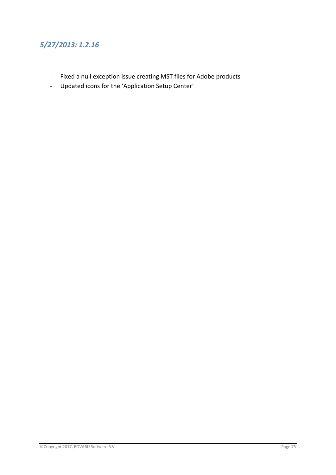# *5/27/2013: 1.2.16*

- Fixed a null exception issue creating MST files for Adobe products
- Updated icons for the 'Application Setup Center'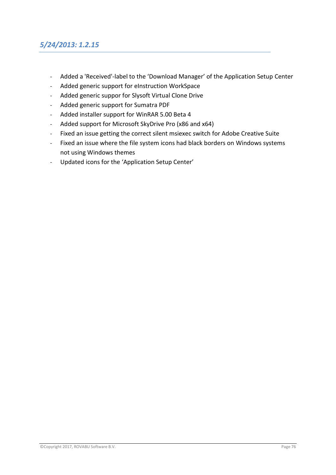### *5/24/2013: 1.2.15*

- Added a 'Received'-label to the 'Download Manager' of the Application Setup Center
- Added generic support for eInstruction WorkSpace
- Added generic suppor for Slysoft Virtual Clone Drive
- Added generic support for Sumatra PDF
- Added installer support for WinRAR 5.00 Beta 4
- Added support for Microsoft SkyDrive Pro (x86 and x64)
- Fixed an issue getting the correct silent msiexec switch for Adobe Creative Suite
- Fixed an issue where the file system icons had black borders on Windows systems not using Windows themes
- Updated icons for the 'Application Setup Center'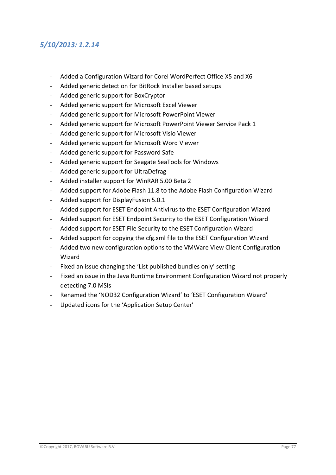### *5/10/2013: 1.2.14*

- Added a Configuration Wizard for Corel WordPerfect Office X5 and X6
- Added generic detection for BitRock Installer based setups
- Added generic support for BoxCryptor
- Added generic support for Microsoft Excel Viewer
- Added generic support for Microsoft PowerPoint Viewer
- Added generic support for Microsoft PowerPoint Viewer Service Pack 1
- Added generic support for Microsoft Visio Viewer
- Added generic support for Microsoft Word Viewer
- Added generic support for Password Safe
- Added generic support for Seagate SeaTools for Windows
- Added generic support for UltraDefrag
- Added installer support for WinRAR 5.00 Beta 2
- Added support for Adobe Flash 11.8 to the Adobe Flash Configuration Wizard
- Added support for DisplayFusion 5.0.1
- Added support for ESET Endpoint Antivirus to the ESET Configuration Wizard
- Added support for ESET Endpoint Security to the ESET Configuration Wizard
- Added support for ESET File Security to the ESET Configuration Wizard
- Added support for copying the cfg.xml file to the ESET Configuration Wizard
- Added two new configuration options to the VMWare View Client Configuration Wizard
- Fixed an issue changing the 'List published bundles only' setting
- Fixed an issue in the Java Runtime Environment Configuration Wizard not properly detecting 7.0 MSIs
- Renamed the 'NOD32 Configuration Wizard' to 'ESET Configuration Wizard'
- Updated icons for the 'Application Setup Center'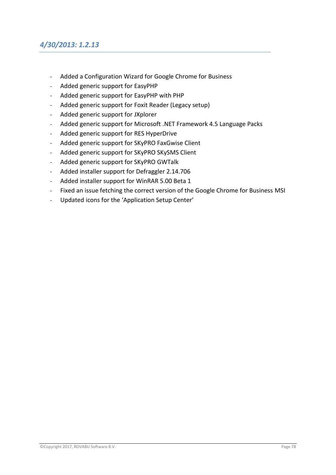#### *4/30/2013: 1.2.13*

- Added a Configuration Wizard for Google Chrome for Business
- Added generic support for EasyPHP
- Added generic support for EasyPHP with PHP
- Added generic support for Foxit Reader (Legacy setup)
- Added generic support for JXplorer
- Added generic support for Microsoft .NET Framework 4.5 Language Packs
- Added generic support for RES HyperDrive
- Added generic support for SKyPRO FaxGwise Client
- Added generic support for SKyPRO SKySMS Client
- Added generic support for SKyPRO GWTalk
- Added installer support for Defraggler 2.14.706
- Added installer support for WinRAR 5.00 Beta 1
- Fixed an issue fetching the correct version of the Google Chrome for Business MSI
- Updated icons for the 'Application Setup Center'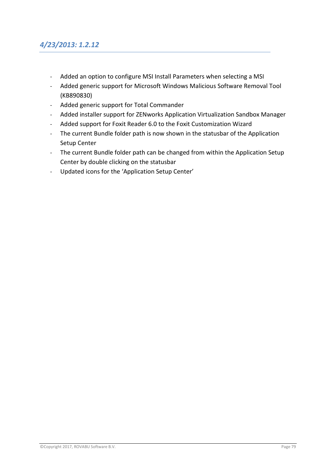#### *4/23/2013: 1.2.12*

- Added an option to configure MSI Install Parameters when selecting a MSI
- Added generic support for Microsoft Windows Malicious Software Removal Tool (KB890830)
- Added generic support for Total Commander
- Added installer support for ZENworks Application Virtualization Sandbox Manager
- Added support for Foxit Reader 6.0 to the Foxit Customization Wizard
- The current Bundle folder path is now shown in the statusbar of the Application Setup Center
- The current Bundle folder path can be changed from within the Application Setup Center by double clicking on the statusbar
- Updated icons for the 'Application Setup Center'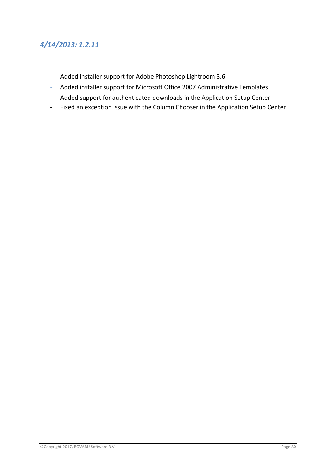### *4/14/2013: 1.2.11*

- Added installer support for Adobe Photoshop Lightroom 3.6
- Added installer support for Microsoft Office 2007 Administrative Templates
- Added support for authenticated downloads in the Application Setup Center
- Fixed an exception issue with the Column Chooser in the Application Setup Center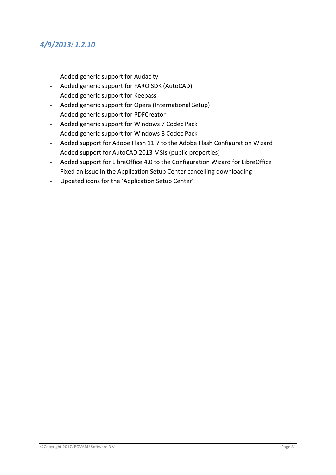#### *4/9/2013: 1.2.10*

- Added generic support for Audacity
- Added generic support for FARO SDK (AutoCAD)
- Added generic support for Keepass
- Added generic support for Opera (International Setup)
- Added generic support for PDFCreator
- Added generic support for Windows 7 Codec Pack
- Added generic support for Windows 8 Codec Pack
- Added support for Adobe Flash 11.7 to the Adobe Flash Configuration Wizard
- Added support for AutoCAD 2013 MSIs (public properties)
- Added support for LibreOffice 4.0 to the Configuration Wizard for LibreOffice
- Fixed an issue in the Application Setup Center cancelling downloading
- Updated icons for the 'Application Setup Center'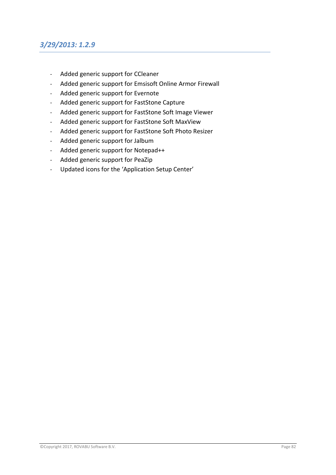# *3/29/2013: 1.2.9*

- Added generic support for CCleaner
- Added generic support for Emsisoft Online Armor Firewall
- Added generic support for Evernote
- Added generic support for FastStone Capture
- Added generic support for FastStone Soft Image Viewer
- Added generic support for FastStone Soft MaxView
- Added generic support for FastStone Soft Photo Resizer
- Added generic support for Jalbum
- Added generic support for Notepad++
- Added generic support for PeaZip
- Updated icons for the 'Application Setup Center'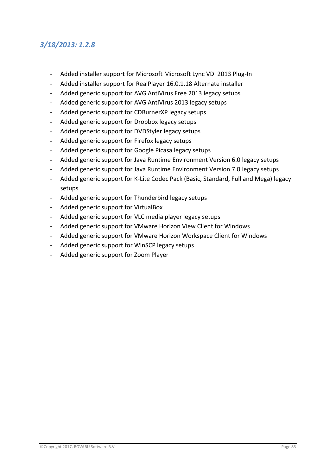# *3/18/2013: 1.2.8*

- Added installer support for Microsoft Microsoft Lync VDI 2013 Plug-In
- Added installer support for RealPlayer 16.0.1.18 Alternate installer
- Added generic support for AVG AntiVirus Free 2013 legacy setups
- Added generic support for AVG AntiVirus 2013 legacy setups
- Added generic support for CDBurnerXP legacy setups
- Added generic support for Dropbox legacy setups
- Added generic support for DVDStyler legacy setups
- Added generic support for Firefox legacy setups
- Added generic support for Google Picasa legacy setups
- Added generic support for Java Runtime Environment Version 6.0 legacy setups
- Added generic support for Java Runtime Environment Version 7.0 legacy setups
- Added generic support for K-Lite Codec Pack (Basic, Standard, Full and Mega) legacy setups
- Added generic support for Thunderbird legacy setups
- Added generic support for VirtualBox
- Added generic support for VLC media player legacy setups
- Added generic support for VMware Horizon View Client for Windows
- Added generic support for VMware Horizon Workspace Client for Windows
- Added generic support for WinSCP legacy setups
- Added generic support for Zoom Player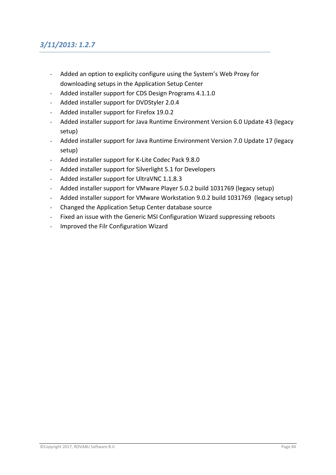# *3/11/2013: 1.2.7*

- Added an option to explicity configure using the System's Web Proxy for downloading setups in the Application Setup Center
- Added installer support for CDS Design Programs 4.1.1.0
- Added installer support for DVDStyler 2.0.4
- Added installer support for Firefox 19.0.2
- Added installer support for Java Runtime Environment Version 6.0 Update 43 (legacy setup)
- Added installer support for Java Runtime Environment Version 7.0 Update 17 (legacy setup)
- Added installer support for K-Lite Codec Pack 9.8.0
- Added installer support for Silverlight 5.1 for Developers
- Added installer support for UltraVNC 1.1.8.3
- Added installer support for VMware Player 5.0.2 build 1031769 (legacy setup)
- Added installer support for VMware Workstation 9.0.2 build 1031769 (legacy setup)
- Changed the Application Setup Center database source
- Fixed an issue with the Generic MSI Configuration Wizard suppressing reboots
- Improved the Filr Configuration Wizard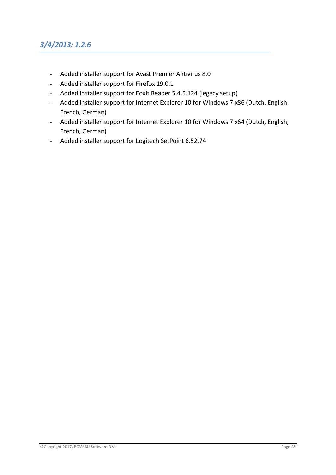# *3/4/2013: 1.2.6*

- Added installer support for Avast Premier Antivirus 8.0
- Added installer support for Firefox 19.0.1
- Added installer support for Foxit Reader 5.4.5.124 (legacy setup)
- Added installer support for Internet Explorer 10 for Windows 7 x86 (Dutch, English, French, German)
- Added installer support for Internet Explorer 10 for Windows 7 x64 (Dutch, English, French, German)
- Added installer support for Logitech SetPoint 6.52.74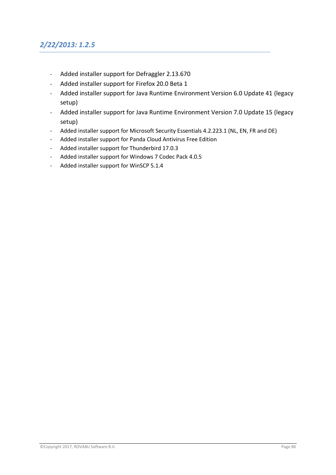# *2/22/2013: 1.2.5*

- Added installer support for Defraggler 2.13.670
- Added installer support for Firefox 20.0 Beta 1
- Added installer support for Java Runtime Environment Version 6.0 Update 41 (legacy setup)
- Added installer support for Java Runtime Environment Version 7.0 Update 15 (legacy setup)
- Added installer support for Microsoft Security Essentials 4.2.223.1 (NL, EN, FR and DE)
- Added installer support for Panda Cloud Antivirus Free Edition
- Added installer support for Thunderbird 17.0.3
- Added installer support for Windows 7 Codec Pack 4.0.5
- Added installer support for WinSCP 5.1.4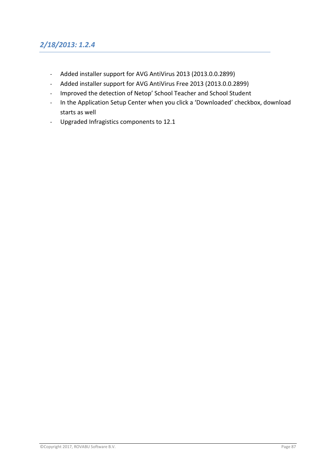# *2/18/2013: 1.2.4*

- Added installer support for AVG AntiVirus 2013 (2013.0.0.2899)
- Added installer support for AVG AntiVirus Free 2013 (2013.0.0.2899)
- Improved the detection of Netop' School Teacher and School Student
- In the Application Setup Center when you click a 'Downloaded' checkbox, download starts as well
- Upgraded Infragistics components to 12.1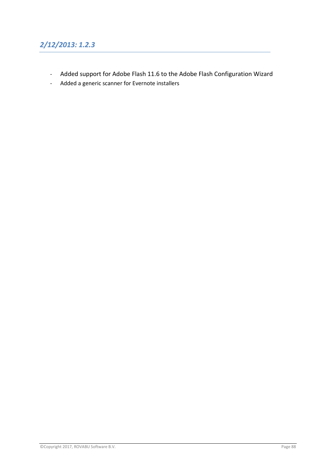# *2/12/2013: 1.2.3*

- Added support for Adobe Flash 11.6 to the Adobe Flash Configuration Wizard
- Added a generic scanner for Evernote installers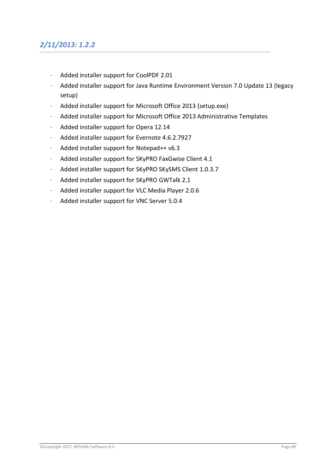# *2/11/2013: 1.2.2*

- Added installer support for CoolPDF 2.01
- Added installer support for Java Runtime Environment Version 7.0 Update 13 (legacy setup)
- Added installer support for Microsoft Office 2013 (setup.exe)
- Added installer support for Microsoft Office 2013 Administrative Templates
- Added installer support for Opera 12.14
- Added installer support for Evernote 4.6.2.7927
- Added installer support for Notepad++ v6.3
- Added installer support for SKyPRO FaxGwise Client 4.1
- Added installer support for SKyPRO SKySMS Client 1.0.3.7
- Added installer support for SKyPRO GWTalk 2.1
- Added installer support for VLC Media Player 2.0.6
- Added installer support for VNC Server 5.0.4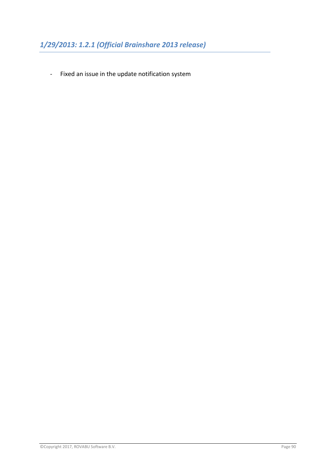- Fixed an issue in the update notification system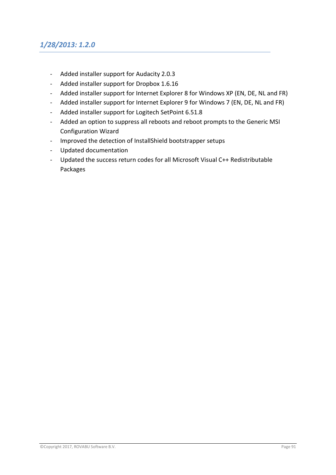# *1/28/2013: 1.2.0*

- Added installer support for Audacity 2.0.3
- Added installer support for Dropbox 1.6.16
- Added installer support for Internet Explorer 8 for Windows XP (EN, DE, NL and FR)
- Added installer support for Internet Explorer 9 for Windows 7 (EN, DE, NL and FR)
- Added installer support for Logitech SetPoint 6.51.8
- Added an option to suppress all reboots and reboot prompts to the Generic MSI Configuration Wizard
- Improved the detection of InstallShield bootstrapper setups
- Updated documentation
- Updated the success return codes for all Microsoft Visual C++ Redistributable Packages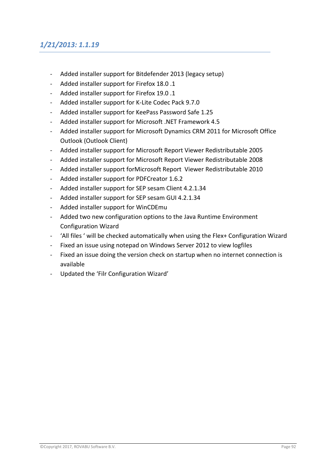# *1/21/2013: 1.1.19*

- Added installer support for Bitdefender 2013 (legacy setup)
- Added installer support for Firefox 18.0 .1
- Added installer support for Firefox 19.0 .1
- Added installer support for K-Lite Codec Pack 9.7.0
- Added installer support for KeePass Password Safe 1.25
- Added installer support for Microsoft .NET Framework 4.5
- Added installer support for Microsoft Dynamics CRM 2011 for Microsoft Office Outlook (Outlook Client)
- Added installer support for Microsoft Report Viewer Redistributable 2005
- Added installer support for Microsoft Report Viewer Redistributable 2008
- Added installer support forMicrosoft Report Viewer Redistributable 2010
- Added installer support for PDFCreator 1.6.2
- Added installer support for SEP sesam Client 4.2.1.34
- Added installer support for SEP sesam GUI 4.2.1.34
- Added installer support for WinCDEmu
- Added two new configuration options to the Java Runtime Environment Configuration Wizard
- 'All files ' will be checked automatically when using the Flex+ Configuration Wizard
- Fixed an issue using notepad on Windows Server 2012 to view logfiles
- Fixed an issue doing the version check on startup when no internet connection is available
- Updated the 'Filr Configuration Wizard'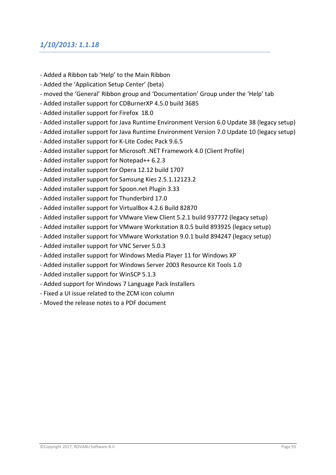#### *1/10/2013: 1.1.18*

- Added a Ribbon tab 'Help' to the Main Ribbon
- Added the 'Application Setup Center' (beta)
- moved the 'General' Ribbon group and 'Documentation' Group under the 'Help' tab
- Added installer support for CDBurnerXP 4.5.0 build 3685
- Added installer support for Firefox 18.0
- Added installer support for Java Runtime Environment Version 6.0 Update 38 (legacy setup)
- Added installer support for Java Runtime Environment Version 7.0 Update 10 (legacy setup)
- Added installer support for K-Lite Codec Pack 9.6.5
- Added installer support for Microsoft .NET Framework 4.0 (Client Profile)
- Added installer support for Notepad++ 6.2.3
- Added installer support for Opera 12.12 build 1707
- Added installer support for Samsung Kies 2.5.1.12123.2
- Added installer support for Spoon.net Plugin 3.33
- Added installer support for Thunderbird 17.0
- Added installer support for VirtualBox 4.2.6 Build 82870
- Added installer support for VMware View Client 5.2.1 build 937772 (legacy setup)
- Added installer support for VMware Workstation 8.0.5 build 893925 (legacy setup)
- Added installer support for VMware Workstation 9.0.1 build 894247 (legacy setup)
- Added installer support for VNC Server 5.0.3
- Added installer support for Windows Media Player 11 for Windows XP
- Added installer support for Windows Server 2003 Resource Kit Tools 1.0
- Added installer support for WinSCP 5.1.3
- Added support for Windows 7 Language Pack Installers
- Fixed a UI issue related to the ZCM icon column
- Moved the release notes to a PDF document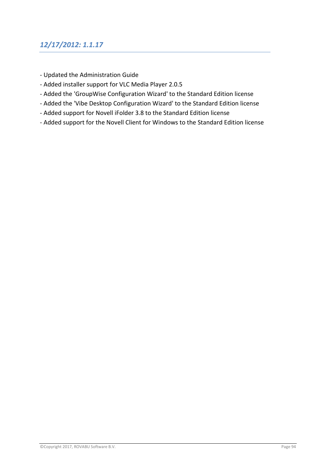# *12/17/2012: 1.1.17*

- Updated the Administration Guide
- Added installer support for VLC Media Player 2.0.5
- Added the 'GroupWise Configuration Wizard' to the Standard Edition license
- Added the 'Vibe Desktop Configuration Wizard' to the Standard Edition license
- Added support for Novell iFolder 3.8 to the Standard Edition license
- Added support for the Novell Client for Windows to the Standard Edition license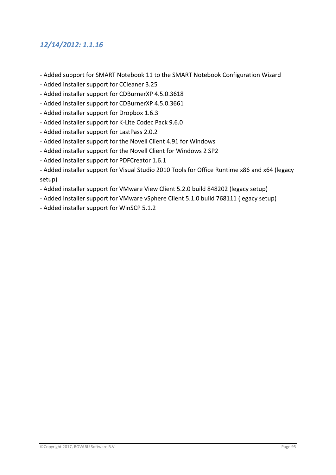### *12/14/2012: 1.1.16*

- Added support for SMART Notebook 11 to the SMART Notebook Configuration Wizard
- Added installer support for CCleaner 3.25
- Added installer support for CDBurnerXP 4.5.0.3618
- Added installer support for CDBurnerXP 4.5.0.3661
- Added installer support for Dropbox 1.6.3
- Added installer support for K-Lite Codec Pack 9.6.0
- Added installer support for LastPass 2.0.2
- Added installer support for the Novell Client 4.91 for Windows
- Added installer support for the Novell Client for Windows 2 SP2
- Added installer support for PDFCreator 1.6.1
- Added installer support for Visual Studio 2010 Tools for Office Runtime x86 and x64 (legacy setup)
- Added installer support for VMware View Client 5.2.0 build 848202 (legacy setup)
- Added installer support for VMware vSphere Client 5.1.0 build 768111 (legacy setup)
- Added installer support for WinSCP 5.1.2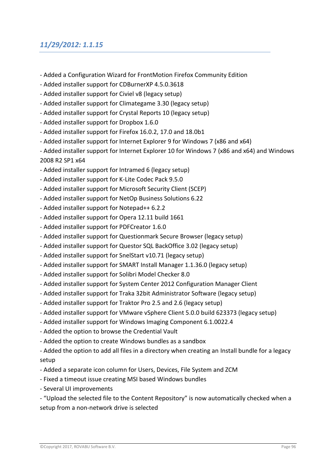### *11/29/2012: 1.1.15*

- Added a Configuration Wizard for FrontMotion Firefox Community Edition
- Added installer support for CDBurnerXP 4.5.0.3618
- Added installer support for Civiel v8 (legacy setup)
- Added installer support for Climategame 3.30 (legacy setup)
- Added installer support for Crystal Reports 10 (legacy setup)
- Added installer support for Dropbox 1.6.0
- Added installer support for Firefox 16.0.2, 17.0 and 18.0b1
- Added installer support for Internet Explorer 9 for Windows 7 (x86 and x64)
- Added installer support for Internet Explorer 10 for Windows 7 (x86 and x64) and Windows 2008 R2 SP1 x64
- Added installer support for Intramed 6 (legacy setup)
- Added installer support for K-Lite Codec Pack 9.5.0
- Added installer support for Microsoft Security Client (SCEP)
- Added installer support for NetOp Business Solutions 6.22
- Added installer support for Notepad++ 6.2.2
- Added installer support for Opera 12.11 build 1661
- Added installer support for PDFCreator 1.6.0
- Added installer support for Questionmark Secure Browser (legacy setup)
- Added installer support for Questor SQL BackOffice 3.02 (legacy setup)
- Added installer support for SnelStart v10.71 (legacy setup)
- Added installer support for SMART Install Manager 1.1.36.0 (legacy setup)
- Added installer support for Solibri Model Checker 8.0
- Added installer support for System Center 2012 Configuration Manager Client
- Added installer support for Traka 32bit Administrator Software (legacy setup)
- Added installer support for Traktor Pro 2.5 and 2.6 (legacy setup)
- Added installer support for VMware vSphere Client 5.0.0 build 623373 (legacy setup)
- Added installer support for Windows Imaging Component 6.1.0022.4
- Added the option to browse the Credential Vault
- Added the option to create Windows bundles as a sandbox
- Added the option to add all files in a directory when creating an Install bundle for a legacy setup
- Added a separate icon column for Users, Devices, File System and ZCM
- Fixed a timeout issue creating MSI based Windows bundles
- Several UI improvements
- "Upload the selected file to the Content Repository" is now automatically checked when a setup from a non-network drive is selected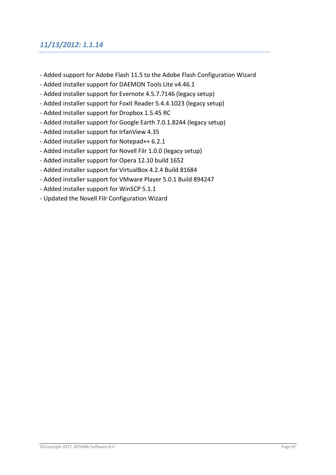# *11/13/2012: 1.1.14*

- Added support for Adobe Flash 11.5 to the Adobe Flash Configuration Wizard
- Added installer support for DAEMON Tools Lite v4.46.1
- Added installer support for Evernote 4.5.7.7146 (legacy setup)
- Added installer support for Foxit Reader 5.4.4.1023 (legacy setup)
- Added installer support for Dropbox 1.5.45 RC
- Added installer support for Google Earth 7.0.1.8244 (legacy setup)
- Added installer support for IrfanView 4.35
- Added installer support for Notepad++ 6.2.1
- Added installer support for Novell Filr 1.0.0 (legacy setup)
- Added installer support for Opera 12.10 build 1652
- Added installer support for VirtualBox 4.2.4 Build 81684
- Added installer support for VMware Player 5.0.1 Build 894247
- Added installer support for WinSCP 5.1.1
- Updated the Novell Filr Configuration Wizard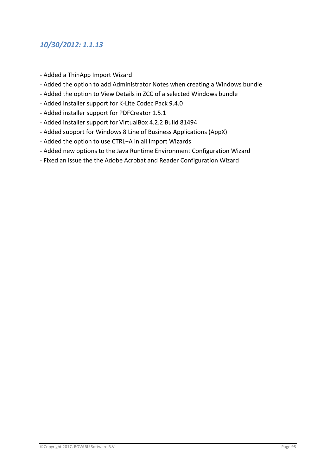### *10/30/2012: 1.1.13*

- Added a ThinApp Import Wizard
- Added the option to add Administrator Notes when creating a Windows bundle
- Added the option to View Details in ZCC of a selected Windows bundle
- Added installer support for K-Lite Codec Pack 9.4.0
- Added installer support for PDFCreator 1.5.1
- Added installer support for VirtualBox 4.2.2 Build 81494
- Added support for Windows 8 Line of Business Applications (AppX)
- Added the option to use CTRL+A in all Import Wizards
- Added new options to the Java Runtime Environment Configuration Wizard
- Fixed an issue the the Adobe Acrobat and Reader Configuration Wizard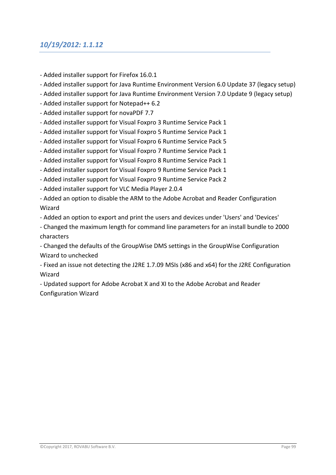### *10/19/2012: 1.1.12*

- Added installer support for Firefox 16.0.1
- Added installer support for Java Runtime Environment Version 6.0 Update 37 (legacy setup)
- Added installer support for Java Runtime Environment Version 7.0 Update 9 (legacy setup)
- Added installer support for Notepad++ 6.2
- Added installer support for novaPDF 7.7
- Added installer support for Visual Foxpro 3 Runtime Service Pack 1
- Added installer support for Visual Foxpro 5 Runtime Service Pack 1
- Added installer support for Visual Foxpro 6 Runtime Service Pack 5
- Added installer support for Visual Foxpro 7 Runtime Service Pack 1
- Added installer support for Visual Foxpro 8 Runtime Service Pack 1
- Added installer support for Visual Foxpro 9 Runtime Service Pack 1
- Added installer support for Visual Foxpro 9 Runtime Service Pack 2
- Added installer support for VLC Media Player 2.0.4
- Added an option to disable the ARM to the Adobe Acrobat and Reader Configuration Wizard
- Added an option to export and print the users and devices under 'Users' and 'Devices'
- Changed the maximum length for command line parameters for an install bundle to 2000 characters

- Changed the defaults of the GroupWise DMS settings in the GroupWise Configuration Wizard to unchecked

- Fixed an issue not detecting the J2RE 1.7.09 MSIs (x86 and x64) for the J2RE Configuration Wizard

- Updated support for Adobe Acrobat X and XI to the Adobe Acrobat and Reader Configuration Wizard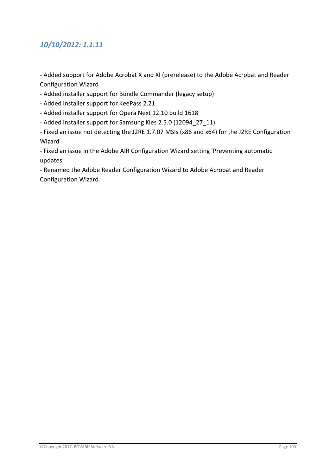### *10/10/2012: 1.1.11*

- Added support for Adobe Acrobat X and XI (prerelease) to the Adobe Acrobat and Reader Configuration Wizard
- Added installer support for Bundle Commander (legacy setup)
- Added installer support for KeePass 2.21
- Added installer support for Opera Next 12.10 build 1618
- Added installer support for Samsung Kies 2.5.0 (12094 27 11)
- Fixed an issue not detecting the J2RE 1.7.07 MSIs (x86 and x64) for the J2RE Configuration Wizard

- Fixed an issue in the Adobe AIR Configuration Wizard setting 'Preventing automatic updates'

- Renamed the Adobe Reader Configuration Wizard to Adobe Acrobat and Reader Configuration Wizard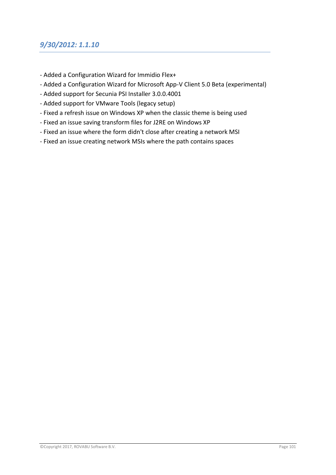- Added a Configuration Wizard for Immidio Flex+
- Added a Configuration Wizard for Microsoft App-V Client 5.0 Beta (experimental)
- Added support for Secunia PSI Installer 3.0.0.4001
- Added support for VMware Tools (legacy setup)
- Fixed a refresh issue on Windows XP when the classic theme is being used
- Fixed an issue saving transform files for J2RE on Windows XP
- Fixed an issue where the form didn't close after creating a network MSI
- Fixed an issue creating network MSIs where the path contains spaces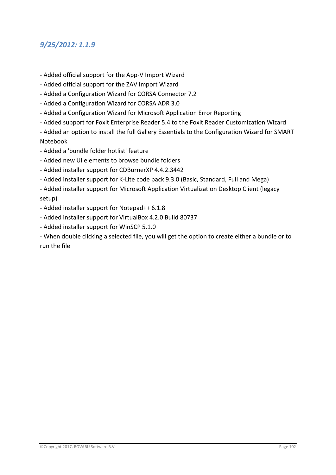### *9/25/2012: 1.1.9*

- Added official support for the App-V Import Wizard
- Added official support for the ZAV Import Wizard
- Added a Configuration Wizard for CORSA Connector 7.2
- Added a Configuration Wizard for CORSA ADR 3.0
- Added a Configuration Wizard for Microsoft Application Error Reporting
- Added support for Foxit Enterprise Reader 5.4 to the Foxit Reader Customization Wizard

- Added an option to install the full Gallery Essentials to the Configuration Wizard for SMART Notebook

- Added a 'bundle folder hotlist' feature
- Added new UI elements to browse bundle folders
- Added installer support for CDBurnerXP 4.4.2.3442
- Added installer support for K-Lite code pack 9.3.0 (Basic, Standard, Full and Mega)
- Added installer support for Microsoft Application Virtualization Desktop Client (legacy setup)
- Added installer support for Notepad++ 6.1.8
- Added installer support for VirtualBox 4.2.0 Build 80737
- Added installer support for WinSCP 5.1.0
- When double clicking a selected file, you will get the option to create either a bundle or to run the file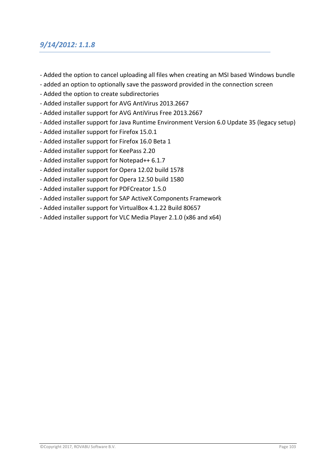### *9/14/2012: 1.1.8*

- Added the option to cancel uploading all files when creating an MSI based Windows bundle
- added an option to optionally save the password provided in the connection screen
- Added the option to create subdirectories
- Added installer support for AVG AntiVirus 2013.2667
- Added installer support for AVG AntiVirus Free 2013.2667
- Added installer support for Java Runtime Environment Version 6.0 Update 35 (legacy setup)
- Added installer support for Firefox 15.0.1
- Added installer support for Firefox 16.0 Beta 1
- Added installer support for KeePass 2.20
- Added installer support for Notepad++ 6.1.7
- Added installer support for Opera 12.02 build 1578
- Added installer support for Opera 12.50 build 1580
- Added installer support for PDFCreator 1.5.0
- Added installer support for SAP ActiveX Components Framework
- Added installer support for VirtualBox 4.1.22 Build 80657
- Added installer support for VLC Media Player 2.1.0 (x86 and x64)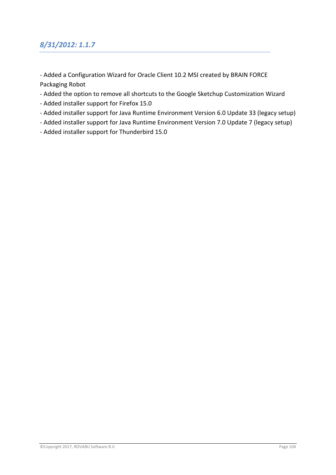# *8/31/2012: 1.1.7*

- Added a Configuration Wizard for Oracle Client 10.2 MSI created by BRAIN FORCE Packaging Robot
- Added the option to remove all shortcuts to the Google Sketchup Customization Wizard
- Added installer support for Firefox 15.0
- Added installer support for Java Runtime Environment Version 6.0 Update 33 (legacy setup)
- Added installer support for Java Runtime Environment Version 7.0 Update 7 (legacy setup)
- Added installer support for Thunderbird 15.0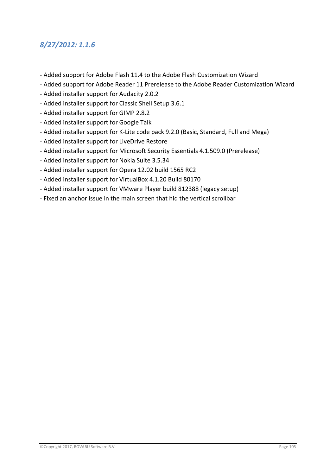### *8/27/2012: 1.1.6*

- Added support for Adobe Flash 11.4 to the Adobe Flash Customization Wizard
- Added support for Adobe Reader 11 Prerelease to the Adobe Reader Customization Wizard
- Added installer support for Audacity 2.0.2
- Added installer support for Classic Shell Setup 3.6.1
- Added installer support for GIMP 2.8.2
- Added installer support for Google Talk
- Added installer support for K-Lite code pack 9.2.0 (Basic, Standard, Full and Mega)
- Added installer support for LiveDrive Restore
- Added installer support for Microsoft Security Essentials 4.1.509.0 (Prerelease)
- Added installer support for Nokia Suite 3.5.34
- Added installer support for Opera 12.02 build 1565 RC2
- Added installer support for VirtualBox 4.1.20 Build 80170
- Added installer support for VMware Player build 812388 (legacy setup)
- Fixed an anchor issue in the main screen that hid the vertical scrollbar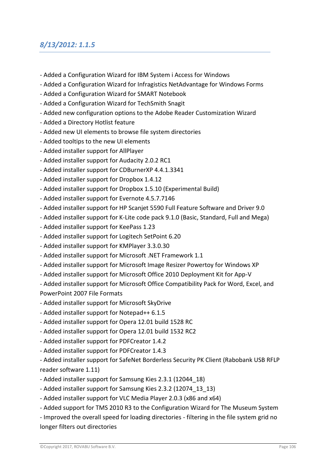#### *8/13/2012: 1.1.5*

- Added a Configuration Wizard for IBM System i Access for Windows
- Added a Configuration Wizard for Infragistics NetAdvantage for Windows Forms
- Added a Configuration Wizard for SMART Notebook
- Added a Configuration Wizard for TechSmith Snagit
- Added new configuration options to the Adobe Reader Customization Wizard
- Added a Directory Hotlist feature
- Added new UI elements to browse file system directories
- Added tooltips to the new UI elements
- Added installer support for AllPlayer
- Added installer support for Audacity 2.0.2 RC1
- Added installer support for CDBurnerXP 4.4.1.3341
- Added installer support for Dropbox 1.4.12
- Added installer support for Dropbox 1.5.10 (Experimental Build)
- Added installer support for Evernote 4.5.7.7146
- Added installer support for HP Scanjet 5590 Full Feature Software and Driver 9.0
- Added installer support for K-Lite code pack 9.1.0 (Basic, Standard, Full and Mega)
- Added installer support for KeePass 1.23
- Added installer support for Logitech SetPoint 6.20
- Added installer support for KMPlayer 3.3.0.30
- Added installer support for Microsoft .NET Framework 1.1
- Added installer support for Microsoft Image Resizer Powertoy for Windows XP
- Added installer support for Microsoft Office 2010 Deployment Kit for App-V
- Added installer support for Microsoft Office Compatibility Pack for Word, Excel, and PowerPoint 2007 File Formats
- Added installer support for Microsoft SkyDrive
- Added installer support for Notepad++ 6.1.5
- Added installer support for Opera 12.01 build 1528 RC
- Added installer support for Opera 12.01 build 1532 RC2
- Added installer support for PDFCreator 1.4.2
- Added installer support for PDFCreator 1.4.3

- Added installer support for SafeNet Borderless Security PK Client (Rabobank USB RFLP reader software 1.11)

- Added installer support for Samsung Kies 2.3.1 (12044\_18)
- Added installer support for Samsung Kies 2.3.2 (12074 13 13)
- Added installer support for VLC Media Player 2.0.3 (x86 and x64)
- Added support for TMS 2010 R3 to the Configuration Wizard for The Museum System

- Improved the overall speed for loading directories - filtering in the file system grid no longer filters out directories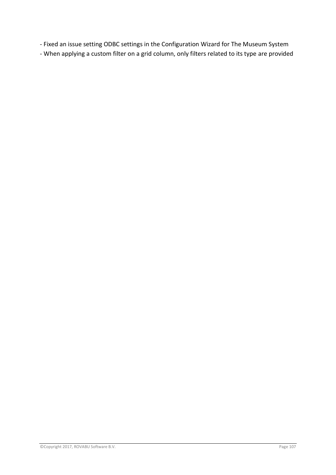- Fixed an issue setting ODBC settings in the Configuration Wizard for The Museum System

- When applying a custom filter on a grid column, only filters related to its type are provided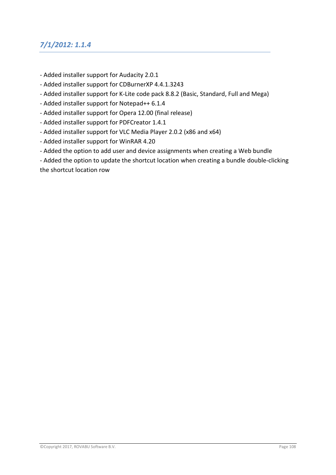# *7/1/2012: 1.1.4*

- Added installer support for Audacity 2.0.1
- Added installer support for CDBurnerXP 4.4.1.3243
- Added installer support for K-Lite code pack 8.8.2 (Basic, Standard, Full and Mega)
- Added installer support for Notepad++ 6.1.4
- Added installer support for Opera 12.00 (final release)
- Added installer support for PDFCreator 1.4.1
- Added installer support for VLC Media Player 2.0.2 (x86 and x64)
- Added installer support for WinRAR 4.20
- Added the option to add user and device assignments when creating a Web bundle
- Added the option to update the shortcut location when creating a bundle double-clicking the shortcut location row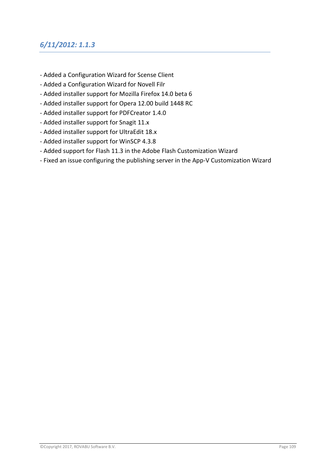## *6/11/2012: 1.1.3*

- Added a Configuration Wizard for Scense Client
- Added a Configuration Wizard for Novell Filr
- Added installer support for Mozilla Firefox 14.0 beta 6
- Added installer support for Opera 12.00 build 1448 RC
- Added installer support for PDFCreator 1.4.0
- Added installer support for Snagit 11.x
- Added installer support for UltraEdit 18.x
- Added installer support for WinSCP 4.3.8
- Added support for Flash 11.3 in the Adobe Flash Customization Wizard
- Fixed an issue configuring the publishing server in the App-V Customization Wizard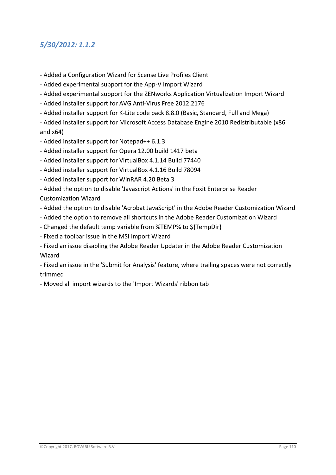# *5/30/2012: 1.1.2*

- Added a Configuration Wizard for Scense Live Profiles Client
- Added experimental support for the App-V Import Wizard
- Added experimental support for the ZENworks Application Virtualization Import Wizard
- Added installer support for AVG Anti-Virus Free 2012.2176
- Added installer support for K-Lite code pack 8.8.0 (Basic, Standard, Full and Mega)

- Added installer support for Microsoft Access Database Engine 2010 Redistributable (x86 and x64)

- Added installer support for Notepad++ 6.1.3
- Added installer support for Opera 12.00 build 1417 beta
- Added installer support for VirtualBox 4.1.14 Build 77440
- Added installer support for VirtualBox 4.1.16 Build 78094
- Added installer support for WinRAR 4.20 Beta 3
- Added the option to disable 'Javascript Actions' in the Foxit Enterprise Reader

#### Customization Wizard

- Added the option to disable 'Acrobat JavaScript' in the Adobe Reader Customization Wizard
- Added the option to remove all shortcuts in the Adobe Reader Customization Wizard
- Changed the default temp variable from %TEMP% to \${TempDir}
- Fixed a toolbar issue in the MSI Import Wizard
- Fixed an issue disabling the Adobe Reader Updater in the Adobe Reader Customization Wizard

- Fixed an issue in the 'Submit for Analysis' feature, where trailing spaces were not correctly trimmed

- Moved all import wizards to the 'Import Wizards' ribbon tab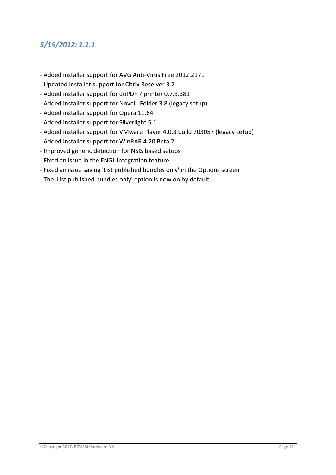# *5/15/2012: 1.1.1*

- Added installer support for AVG Anti-Virus Free 2012.2171
- Updated installer support for Citrix Receiver 3.2
- Added installer support for doPDF 7 printer 0.7.3.381
- Added installer support for Novell iFolder 3.8 (legacy setup)
- Added installer support for Opera 11.64
- Added installer support for Silverlight 5.1
- Added installer support for VMware Player 4.0.3 build 703057 (legacy setup)
- Added installer support for WinRAR 4.20 Beta 2
- Improved generic detection for NSIS based setups
- Fixed an issue in the ENGL integration feature
- Fixed an issue saving 'List published bundles only' in the Options screen
- The 'List published bundles only' option is now on by default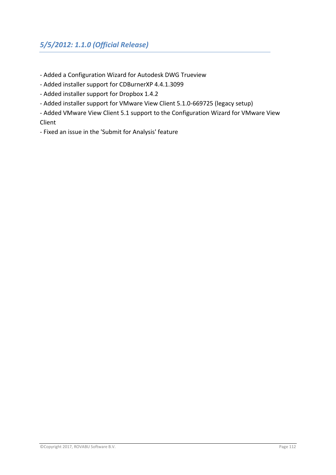- Added a Configuration Wizard for Autodesk DWG Trueview
- Added installer support for CDBurnerXP 4.4.1.3099
- Added installer support for Dropbox 1.4.2
- Added installer support for VMware View Client 5.1.0-669725 (legacy setup)
- Added VMware View Client 5.1 support to the Configuration Wizard for VMware View Client
- Fixed an issue in the 'Submit for Analysis' feature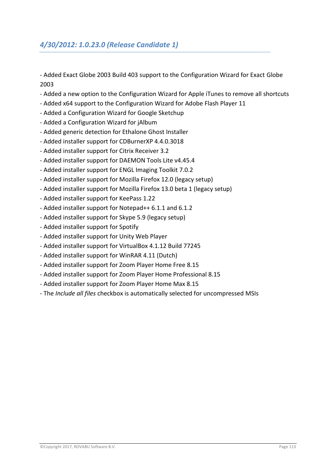- Added Exact Globe 2003 Build 403 support to the Configuration Wizard for Exact Globe 2003

- Added a new option to the Configuration Wizard for Apple iTunes to remove all shortcuts
- Added x64 support to the Configuration Wizard for Adobe Flash Player 11
- Added a Configuration Wizard for Google Sketchup
- Added a Configuration Wizard for jAlbum
- Added generic detection for Ethalone Ghost Installer
- Added installer support for CDBurnerXP 4.4.0.3018
- Added installer support for Citrix Receiver 3.2
- Added installer support for DAEMON Tools Lite v4.45.4
- Added installer support for ENGL Imaging Toolkit 7.0.2
- Added installer support for Mozilla Firefox 12.0 (legacy setup)
- Added installer support for Mozilla Firefox 13.0 beta 1 (legacy setup)
- Added installer support for KeePass 1.22
- Added installer support for Notepad++ 6.1.1 and 6.1.2
- Added installer support for Skype 5.9 (legacy setup)
- Added installer support for Spotify
- Added installer support for Unity Web Player
- Added installer support for VirtualBox 4.1.12 Build 77245
- Added installer support for WinRAR 4.11 (Dutch)
- Added installer support for Zoom Player Home Free 8.15
- Added installer support for Zoom Player Home Professional 8.15
- Added installer support for Zoom Player Home Max 8.15
- The *Include all files* checkbox is automatically selected for uncompressed MSIs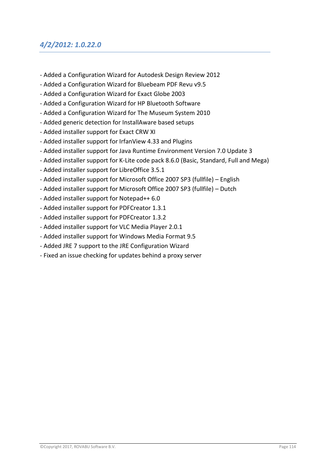#### *4/2/2012: 1.0.22.0*

- Added a Configuration Wizard for Autodesk Design Review 2012
- Added a Configuration Wizard for Bluebeam PDF Revu v9.5
- Added a Configuration Wizard for Exact Globe 2003
- Added a Configuration Wizard for HP Bluetooth Software
- Added a Configuration Wizard for The Museum System 2010
- Added generic detection for InstallAware based setups
- Added installer support for Exact CRW XI
- Added installer support for IrfanView 4.33 and Plugins
- Added installer support for Java Runtime Environment Version 7.0 Update 3
- Added installer support for K-Lite code pack 8.6.0 (Basic, Standard, Full and Mega)
- Added installer support for LibreOffice 3.5.1
- Added installer support for Microsoft Office 2007 SP3 (fullfile) English
- Added installer support for Microsoft Office 2007 SP3 (fullfile) Dutch
- Added installer support for Notepad++ 6.0
- Added installer support for PDFCreator 1.3.1
- Added installer support for PDFCreator 1.3.2
- Added installer support for VLC Media Player 2.0.1
- Added installer support for Windows Media Format 9.5
- Added JRE 7 support to the JRE Configuration Wizard
- Fixed an issue checking for updates behind a proxy server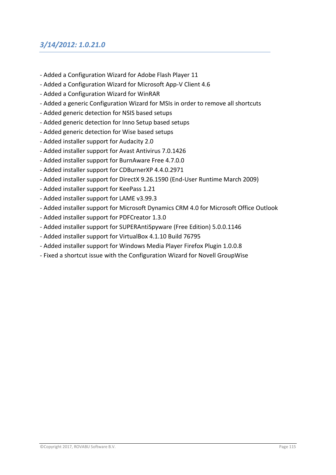#### *3/14/2012: 1.0.21.0*

- Added a Configuration Wizard for Adobe Flash Player 11
- Added a Configuration Wizard for Microsoft App-V Client 4.6
- Added a Configuration Wizard for WinRAR
- Added a generic Configuration Wizard for MSIs in order to remove all shortcuts
- Added generic detection for NSIS based setups
- Added generic detection for Inno Setup based setups
- Added generic detection for Wise based setups
- Added installer support for Audacity 2.0
- Added installer support for Avast Antivirus 7.0.1426
- Added installer support for BurnAware Free 4.7.0.0
- Added installer support for CDBurnerXP 4.4.0.2971
- Added installer support for DirectX 9.26.1590 (End-User Runtime March 2009)
- Added installer support for KeePass 1.21
- Added installer support for LAME v3.99.3
- Added installer support for Microsoft Dynamics CRM 4.0 for Microsoft Office Outlook
- Added installer support for PDFCreator 1.3.0
- Added installer support for SUPERAntiSpyware (Free Edition) 5.0.0.1146
- Added installer support for VirtualBox 4.1.10 Build 76795
- Added installer support for Windows Media Player Firefox Plugin 1.0.0.8
- Fixed a shortcut issue with the Configuration Wizard for Novell GroupWise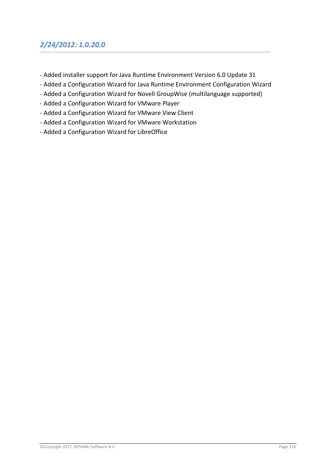# *2/24/2012: 1.0.20.0*

- Added installer support for Java Runtime Environment Version 6.0 Update 31
- Added a Configuration Wizard for Java Runtime Environment Configuration Wizard
- Added a Configuration Wizard for Novell GroupWise (multilanguage supported)
- Added a Configuration Wizard for VMware Player
- Added a Configuration Wizard for VMware View Client
- Added a Configuration Wizard for VMware Workstation
- Added a Configuration Wizard for LibreOffice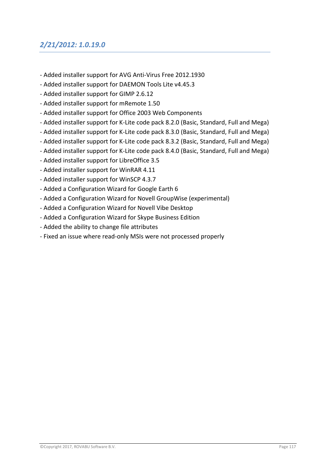# *2/21/2012: 1.0.19.0*

- Added installer support for AVG Anti-Virus Free 2012.1930
- Added installer support for DAEMON Tools Lite v4.45.3
- Added installer support for GIMP 2.6.12
- Added installer support for mRemote 1.50
- Added installer support for Office 2003 Web Components
- Added installer support for K-Lite code pack 8.2.0 (Basic, Standard, Full and Mega)
- Added installer support for K-Lite code pack 8.3.0 (Basic, Standard, Full and Mega)
- Added installer support for K-Lite code pack 8.3.2 (Basic, Standard, Full and Mega)
- Added installer support for K-Lite code pack 8.4.0 (Basic, Standard, Full and Mega)
- Added installer support for LibreOffice 3.5
- Added installer support for WinRAR 4.11
- Added installer support for WinSCP 4.3.7
- Added a Configuration Wizard for Google Earth 6
- Added a Configuration Wizard for Novell GroupWise (experimental)
- Added a Configuration Wizard for Novell Vibe Desktop
- Added a Configuration Wizard for Skype Business Edition
- Added the ability to change file attributes
- Fixed an issue where read-only MSIs were not processed properly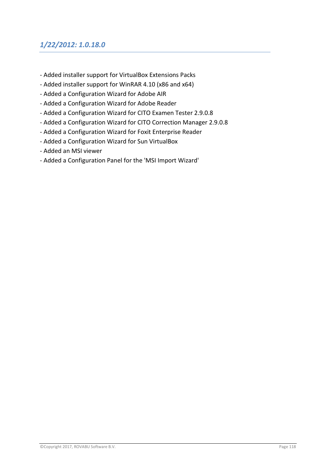# *1/22/2012: 1.0.18.0*

- Added installer support for VirtualBox Extensions Packs
- Added installer support for WinRAR 4.10 (x86 and x64)
- Added a Configuration Wizard for Adobe AIR
- Added a Configuration Wizard for Adobe Reader
- Added a Configuration Wizard for CITO Examen Tester 2.9.0.8
- Added a Configuration Wizard for CITO Correction Manager 2.9.0.8
- Added a Configuration Wizard for Foxit Enterprise Reader
- Added a Configuration Wizard for Sun VirtualBox
- Added an MSI viewer
- Added a Configuration Panel for the 'MSI Import Wizard'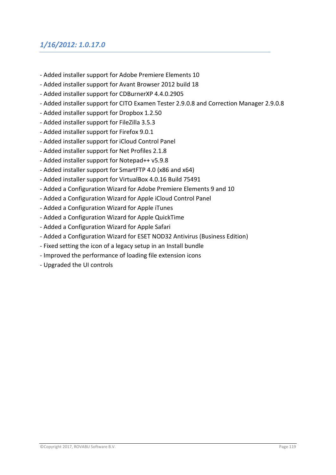# *1/16/2012: 1.0.17.0*

- Added installer support for Adobe Premiere Elements 10
- Added installer support for Avant Browser 2012 build 18
- Added installer support for CDBurnerXP 4.4.0.2905
- Added installer support for CITO Examen Tester 2.9.0.8 and Correction Manager 2.9.0.8
- Added installer support for Dropbox 1.2.50
- Added installer support for FileZilla 3.5.3
- Added installer support for Firefox 9.0.1
- Added installer support for iCloud Control Panel
- Added installer support for Net Profiles 2.1.8
- Added installer support for Notepad++ v5.9.8
- Added installer support for SmartFTP 4.0 (x86 and x64)
- Added installer support for VirtualBox 4.0.16 Build 75491
- Added a Configuration Wizard for Adobe Premiere Elements 9 and 10
- Added a Configuration Wizard for Apple iCloud Control Panel
- Added a Configuration Wizard for Apple iTunes
- Added a Configuration Wizard for Apple QuickTime
- Added a Configuration Wizard for Apple Safari
- Added a Configuration Wizard for ESET NOD32 Antivirus (Business Edition)
- Fixed setting the icon of a legacy setup in an Install bundle
- Improved the performance of loading file extension icons
- Upgraded the UI controls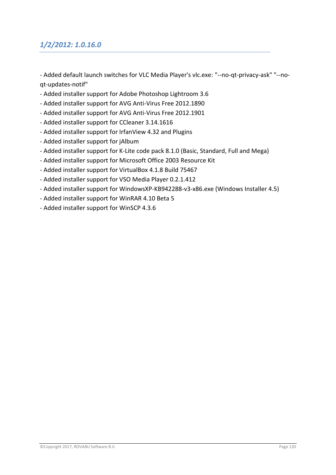# *1/2/2012: 1.0.16.0*

- Added default launch switches for VLC Media Player's vlc.exe: "--no-qt-privacy-ask" "--noqt-updates-notif"

- Added installer support for Adobe Photoshop Lightroom 3.6
- Added installer support for AVG Anti-Virus Free 2012.1890
- Added installer support for AVG Anti-Virus Free 2012.1901
- Added installer support for CCleaner 3.14.1616
- Added installer support for IrfanView 4.32 and Plugins
- Added installer support for jAlbum
- Added installer support for K-Lite code pack 8.1.0 (Basic, Standard, Full and Mega)
- Added installer support for Microsoft Office 2003 Resource Kit
- Added installer support for VirtualBox 4.1.8 Build 75467
- Added installer support for VSO Media Player 0.2.1.412
- Added installer support for WindowsXP-KB942288-v3-x86.exe (Windows Installer 4.5)
- Added installer support for WinRAR 4.10 Beta 5
- Added installer support for WinSCP 4.3.6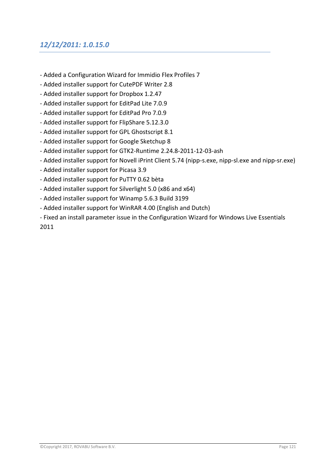# *12/12/2011: 1.0.15.0*

- Added a Configuration Wizard for Immidio Flex Profiles 7
- Added installer support for CutePDF Writer 2.8
- Added installer support for Dropbox 1.2.47
- Added installer support for EditPad Lite 7.0.9
- Added installer support for EditPad Pro 7.0.9
- Added installer support for FlipShare 5.12.3.0
- Added installer support for GPL Ghostscript 8.1
- Added installer support for Google Sketchup 8
- Added installer support for GTK2-Runtime 2.24.8-2011-12-03-ash
- Added installer support for Novell iPrint Client 5.74 (nipp-s.exe, nipp-sl.exe and nipp-sr.exe)
- Added installer support for Picasa 3.9
- Added installer support for PuTTY 0.62 bèta
- Added installer support for Silverlight 5.0 (x86 and x64)
- Added installer support for Winamp 5.6.3 Build 3199
- Added installer support for WinRAR 4.00 (English and Dutch)
- Fixed an install parameter issue in the Configuration Wizard for Windows Live Essentials 2011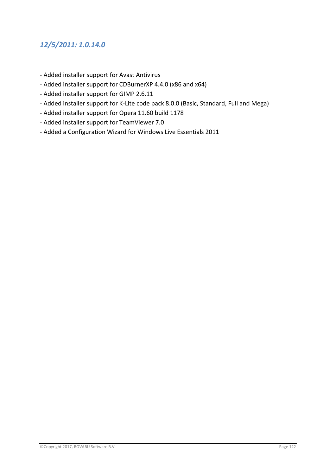# *12/5/2011: 1.0.14.0*

- Added installer support for Avast Antivirus
- Added installer support for CDBurnerXP 4.4.0 (x86 and x64)
- Added installer support for GIMP 2.6.11
- Added installer support for K-Lite code pack 8.0.0 (Basic, Standard, Full and Mega)
- Added installer support for Opera 11.60 build 1178
- Added installer support for TeamViewer 7.0
- Added a Configuration Wizard for Windows Live Essentials 2011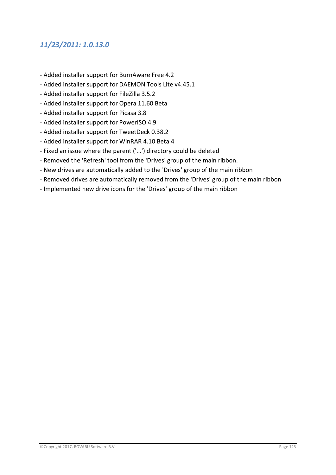# *11/23/2011: 1.0.13.0*

- Added installer support for BurnAware Free 4.2
- Added installer support for DAEMON Tools Lite v4.45.1
- Added installer support for FileZilla 3.5.2
- Added installer support for Opera 11.60 Beta
- Added installer support for Picasa 3.8
- Added installer support for PowerISO 4.9
- Added installer support for TweetDeck 0.38.2
- Added installer support for WinRAR 4.10 Beta 4
- Fixed an issue where the parent ('...') directory could be deleted
- Removed the 'Refresh' tool from the 'Drives' group of the main ribbon.
- New drives are automatically added to the 'Drives' group of the main ribbon
- Removed drives are automatically removed from the 'Drives' group of the main ribbon
- Implemented new drive icons for the 'Drives' group of the main ribbon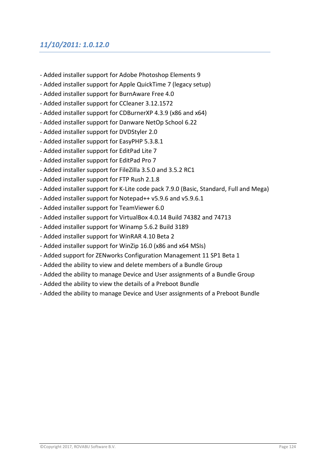# *11/10/2011: 1.0.12.0*

- Added installer support for Adobe Photoshop Elements 9
- Added installer support for Apple QuickTime 7 (legacy setup)
- Added installer support for BurnAware Free 4.0
- Added installer support for CCleaner 3.12.1572
- Added installer support for CDBurnerXP 4.3.9 (x86 and x64)
- Added installer support for Danware NetOp School 6.22
- Added installer support for DVDStyler 2.0
- Added installer support for EasyPHP 5.3.8.1
- Added installer support for EditPad Lite 7
- Added installer support for EditPad Pro 7
- Added installer support for FileZilla 3.5.0 and 3.5.2 RC1
- Added installer support for FTP Rush 2.1.8
- Added installer support for K-Lite code pack 7.9.0 (Basic, Standard, Full and Mega)
- Added installer support for Notepad++ v5.9.6 and v5.9.6.1
- Added installer support for TeamViewer 6.0
- Added installer support for VirtualBox 4.0.14 Build 74382 and 74713
- Added installer support for Winamp 5.6.2 Build 3189
- Added installer support for WinRAR 4.10 Beta 2
- Added installer support for WinZip 16.0 (x86 and x64 MSIs)
- Added support for ZENworks Configuration Management 11 SP1 Beta 1
- Added the ability to view and delete members of a Bundle Group
- Added the ability to manage Device and User assignments of a Bundle Group
- Added the ability to view the details of a Preboot Bundle
- Added the ability to manage Device and User assignments of a Preboot Bundle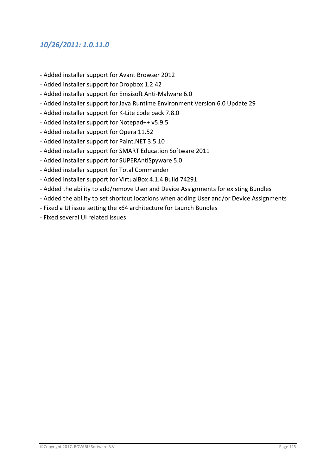#### *10/26/2011: 1.0.11.0*

- Added installer support for Avant Browser 2012
- Added installer support for Dropbox 1.2.42
- Added installer support for Emsisoft Anti-Malware 6.0
- Added installer support for Java Runtime Environment Version 6.0 Update 29
- Added installer support for K-Lite code pack 7.8.0
- Added installer support for Notepad++ v5.9.5
- Added installer support for Opera 11.52
- Added installer support for Paint.NET 3.5.10
- Added installer support for SMART Education Software 2011
- Added installer support for SUPERAntiSpyware 5.0
- Added installer support for Total Commander
- Added installer support for VirtualBox 4.1.4 Build 74291
- Added the ability to add/remove User and Device Assignments for existing Bundles
- Added the ability to set shortcut locations when adding User and/or Device Assignments
- Fixed a UI issue setting the x64 architecture for Launch Bundles
- Fixed several UI related issues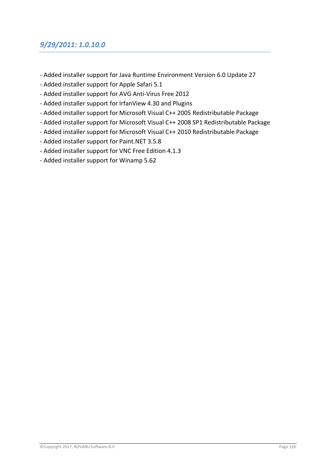#### *9/29/2011: 1.0.10.0*

- Added installer support for Java Runtime Environment Version 6.0 Update 27
- Added installer support for Apple Safari 5.1
- Added installer support for AVG Anti-Virus Free 2012
- Added installer support for IrfanView 4.30 and Plugins
- Added installer support for Microsoft Visual C++ 2005 Redistributable Package
- Added installer support for Microsoft Visual C++ 2008 SP1 Redistributable Package
- Added installer support for Microsoft Visual C++ 2010 Redistributable Package
- Added installer support for Paint.NET 3.5.8
- Added installer support for VNC Free Edition 4.1.3
- Added installer support for Winamp 5.62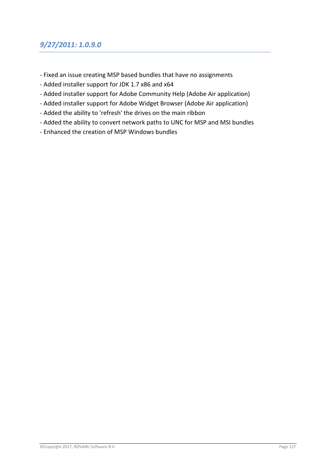# *9/27/2011: 1.0.9.0*

- Fixed an issue creating MSP based bundles that have no assignments
- Added installer support for JDK 1.7 x86 and x64
- Added installer support for Adobe Community Help (Adobe Air application)
- Added installer support for Adobe Widget Browser (Adobe Air application)
- Added the ability to 'refresh' the drives on the main ribbon
- Added the ability to convert network paths to UNC for MSP and MSI bundles
- Enhanced the creation of MSP Windows bundles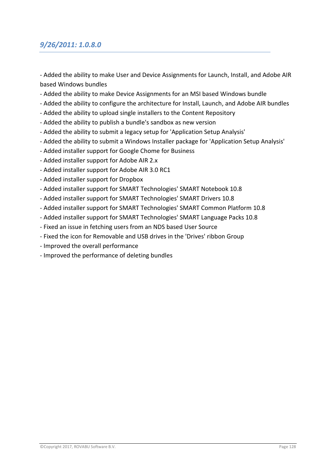## *9/26/2011: 1.0.8.0*

- Added the ability to make User and Device Assignments for Launch, Install, and Adobe AIR based Windows bundles

- Added the ability to make Device Assignments for an MSI based Windows bundle
- Added the ability to configure the architecture for Install, Launch, and Adobe AIR bundles
- Added the ability to upload single installers to the Content Repository
- Added the ability to publish a bundle's sandbox as new version
- Added the ability to submit a legacy setup for 'Application Setup Analysis'
- Added the ability to submit a Windows Installer package for 'Application Setup Analysis'
- Added installer support for Google Chome for Business
- Added installer support for Adobe AIR 2.x
- Added installer support for Adobe AIR 3.0 RC1
- Added installer support for Dropbox
- Added installer support for SMART Technologies' SMART Notebook 10.8
- Added installer support for SMART Technologies' SMART Drivers 10.8
- Added installer support for SMART Technologies' SMART Common Platform 10.8
- Added installer support for SMART Technologies' SMART Language Packs 10.8
- Fixed an issue in fetching users from an NDS based User Source
- Fixed the icon for Removable and USB drives in the 'Drives' ribbon Group
- Improved the overall performance
- Improved the performance of deleting bundles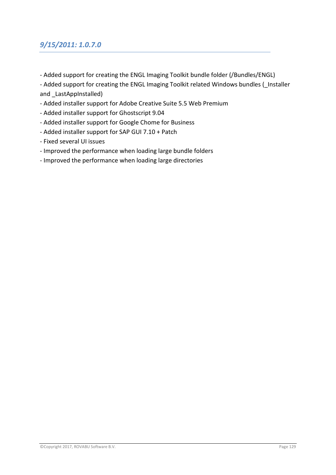# *9/15/2011: 1.0.7.0*

- Added support for creating the ENGL Imaging Toolkit bundle folder (/Bundles/ENGL)

- Added support for creating the ENGL Imaging Toolkit related Windows bundles ( Installer and LastAppInstalled)

- Added installer support for Adobe Creative Suite 5.5 Web Premium
- Added installer support for Ghostscript 9.04
- Added installer support for Google Chome for Business
- Added installer support for SAP GUI 7.10 + Patch
- Fixed several UI issues
- Improved the performance when loading large bundle folders
- Improved the performance when loading large directories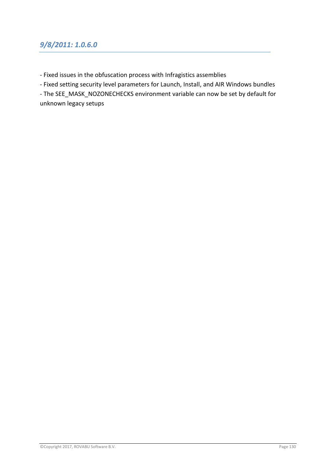#### *9/8/2011: 1.0.6.0*

- Fixed issues in the obfuscation process with Infragistics assemblies

- Fixed setting security level parameters for Launch, Install, and AIR Windows bundles

- The SEE\_MASK\_NOZONECHECKS environment variable can now be set by default for unknown legacy setups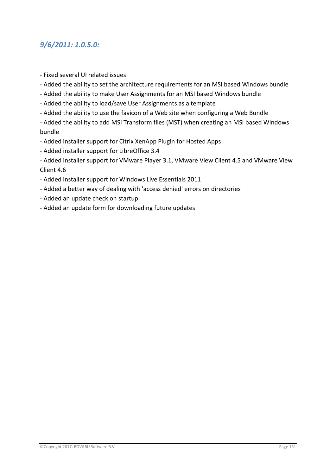#### *9/6/2011: 1.0.5.0:*

- Fixed several UI related issues
- Added the ability to set the architecture requirements for an MSI based Windows bundle
- Added the ability to make User Assignments for an MSI based Windows bundle
- Added the ability to load/save User Assignments as a template
- Added the ability to use the favicon of a Web site when configuring a Web Bundle

- Added the ability to add MSI Transform files (MST) when creating an MSI based Windows bundle

- Added installer support for Citrix XenApp Plugin for Hosted Apps
- Added installer support for LibreOffice 3.4

- Added installer support for VMware Player 3.1, VMware View Client 4.5 and VMware View Client 4.6

- Added installer support for Windows Live Essentials 2011
- Added a better way of dealing with 'access denied' errors on directories
- Added an update check on startup
- Added an update form for downloading future updates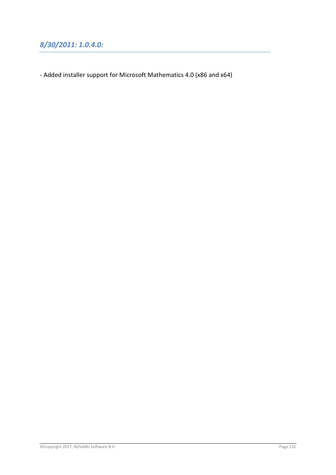- Added installer support for Microsoft Mathematics 4.0 (x86 and x64)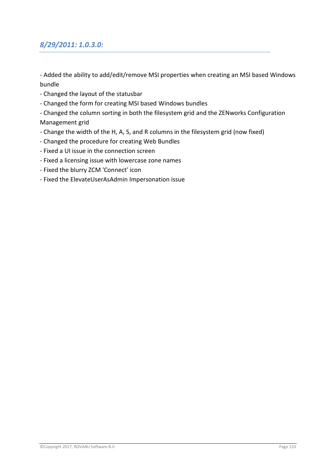#### *8/29/2011: 1.0.3.0:*

- Added the ability to add/edit/remove MSI properties when creating an MSI based Windows bundle

- Changed the layout of the statusbar
- Changed the form for creating MSI based Windows bundles
- Changed the column sorting in both the filesystem grid and the ZENworks Configuration Management grid
- Change the width of the H, A, S, and R columns in the filesystem grid (now fixed)
- Changed the procedure for creating Web Bundles
- Fixed a UI issue in the connection screen
- Fixed a licensing issue with lowercase zone names
- Fixed the blurry ZCM 'Connect' icon
- Fixed the ElevateUserAsAdmin Impersonation issue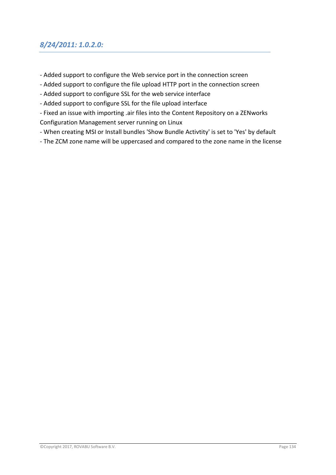## *8/24/2011: 1.0.2.0:*

- Added support to configure the Web service port in the connection screen
- Added support to configure the file upload HTTP port in the connection screen
- Added support to configure SSL for the web service interface
- Added support to configure SSL for the file upload interface
- Fixed an issue with importing .air files into the Content Repository on a ZENworks Configuration Management server running on Linux
- When creating MSI or Install bundles 'Show Bundle Activtity' is set to 'Yes' by default
- The ZCM zone name will be uppercased and compared to the zone name in the license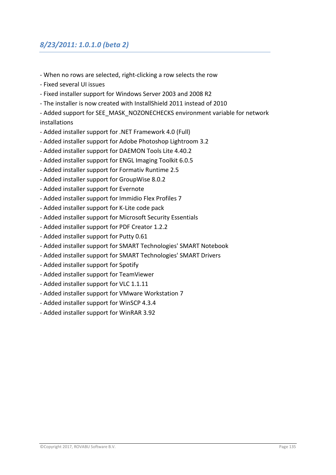# *8/23/2011: 1.0.1.0 (beta 2)*

- When no rows are selected, right-clicking a row selects the row
- Fixed several UI issues
- Fixed installer support for Windows Server 2003 and 2008 R2
- The installer is now created with InstallShield 2011 instead of 2010
- Added support for SEE\_MASK\_NOZONECHECKS environment variable for network installations
- Added installer support for .NET Framework 4.0 (Full)
- Added installer support for Adobe Photoshop Lightroom 3.2
- Added installer support for DAEMON Tools Lite 4.40.2
- Added installer support for ENGL Imaging Toolkit 6.0.5
- Added installer support for Formativ Runtime 2.5
- Added installer support for GroupWise 8.0.2
- Added installer support for Evernote
- Added installer support for Immidio Flex Profiles 7
- Added installer support for K-Lite code pack
- Added installer support for Microsoft Security Essentials
- Added installer support for PDF Creator 1.2.2
- Added installer support for Putty 0.61
- Added installer support for SMART Technologies' SMART Notebook
- Added installer support for SMART Technologies' SMART Drivers
- Added installer support for Spotify
- Added installer support for TeamViewer
- Added installer support for VLC 1.1.11
- Added installer support for VMware Workstation 7
- Added installer support for WinSCP 4.3.4
- Added installer support for WinRAR 3.92